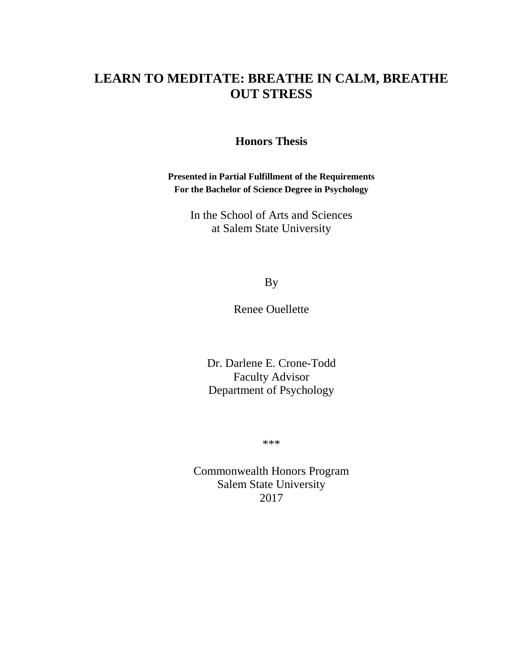# **LEARN TO MEDITATE: BREATHE IN CALM, BREATHE OUT STRESS**

## **Honors Thesis**

**Presented in Partial Fulfillment of the Requirements For the Bachelor of Science Degree in Psychology**

> In the School of Arts and Sciences at Salem State University

> > By

Renee Ouellette

Dr. Darlene E. Crone-Todd Faculty Advisor Department of Psychology

\*\*\*

Commonwealth Honors Program Salem State University 2017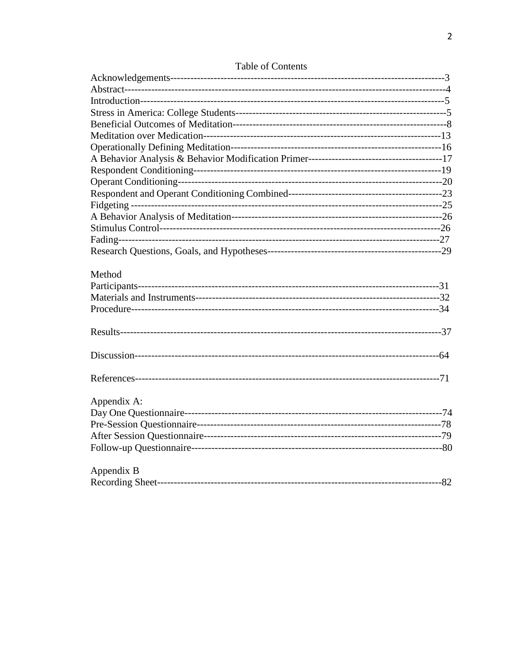| Method      |  |
|-------------|--|
|             |  |
|             |  |
|             |  |
|             |  |
|             |  |
|             |  |
| Appendix A: |  |
|             |  |
|             |  |
|             |  |
|             |  |
| Appendix B  |  |
|             |  |

## Table of Contents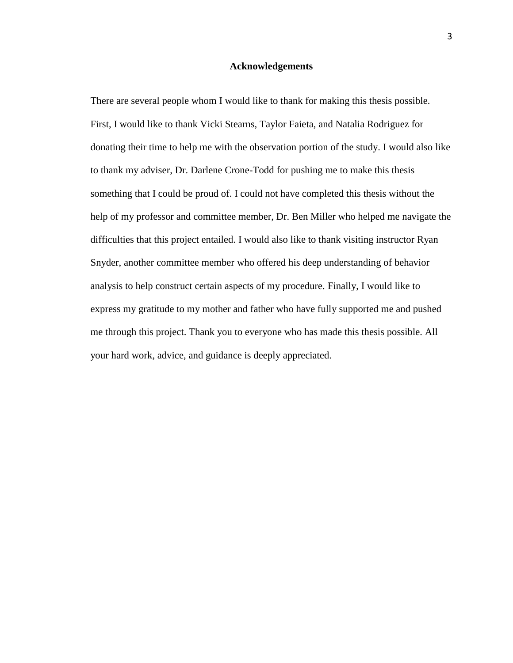## **Acknowledgements**

There are several people whom I would like to thank for making this thesis possible. First, I would like to thank Vicki Stearns, Taylor Faieta, and Natalia Rodriguez for donating their time to help me with the observation portion of the study. I would also like to thank my adviser, Dr. Darlene Crone-Todd for pushing me to make this thesis something that I could be proud of. I could not have completed this thesis without the help of my professor and committee member, Dr. Ben Miller who helped me navigate the difficulties that this project entailed. I would also like to thank visiting instructor Ryan Snyder, another committee member who offered his deep understanding of behavior analysis to help construct certain aspects of my procedure. Finally, I would like to express my gratitude to my mother and father who have fully supported me and pushed me through this project. Thank you to everyone who has made this thesis possible. All your hard work, advice, and guidance is deeply appreciated.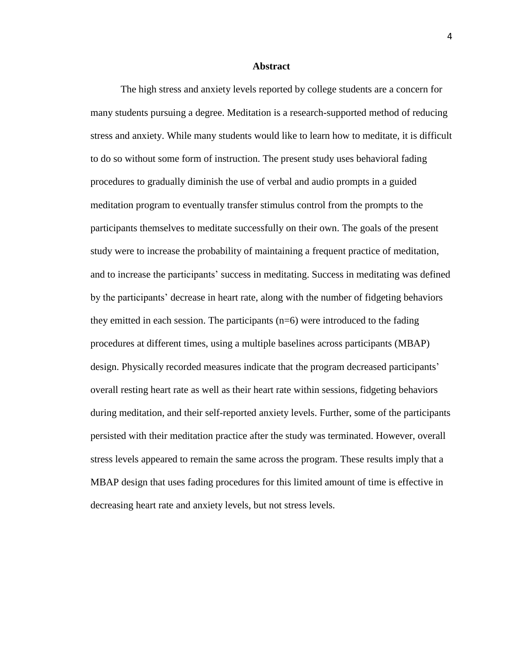#### **Abstract**

The high stress and anxiety levels reported by college students are a concern for many students pursuing a degree. Meditation is a research-supported method of reducing stress and anxiety. While many students would like to learn how to meditate, it is difficult to do so without some form of instruction. The present study uses behavioral fading procedures to gradually diminish the use of verbal and audio prompts in a guided meditation program to eventually transfer stimulus control from the prompts to the participants themselves to meditate successfully on their own. The goals of the present study were to increase the probability of maintaining a frequent practice of meditation, and to increase the participants' success in meditating. Success in meditating was defined by the participants' decrease in heart rate, along with the number of fidgeting behaviors they emitted in each session. The participants  $(n=6)$  were introduced to the fading procedures at different times, using a multiple baselines across participants (MBAP) design. Physically recorded measures indicate that the program decreased participants' overall resting heart rate as well as their heart rate within sessions, fidgeting behaviors during meditation, and their self-reported anxiety levels. Further, some of the participants persisted with their meditation practice after the study was terminated. However, overall stress levels appeared to remain the same across the program. These results imply that a MBAP design that uses fading procedures for this limited amount of time is effective in decreasing heart rate and anxiety levels, but not stress levels.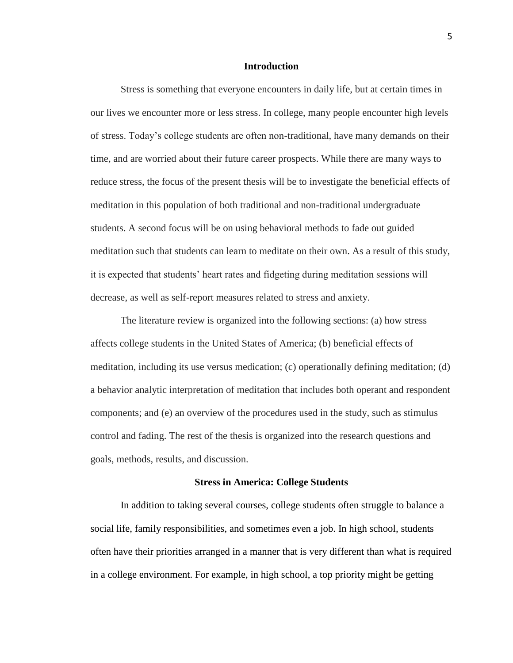### **Introduction**

Stress is something that everyone encounters in daily life, but at certain times in our lives we encounter more or less stress. In college, many people encounter high levels of stress. Today's college students are often non-traditional, have many demands on their time, and are worried about their future career prospects. While there are many ways to reduce stress, the focus of the present thesis will be to investigate the beneficial effects of meditation in this population of both traditional and non-traditional undergraduate students. A second focus will be on using behavioral methods to fade out guided meditation such that students can learn to meditate on their own. As a result of this study, it is expected that students' heart rates and fidgeting during meditation sessions will decrease, as well as self-report measures related to stress and anxiety.

The literature review is organized into the following sections: (a) how stress affects college students in the United States of America; (b) beneficial effects of meditation, including its use versus medication; (c) operationally defining meditation; (d) a behavior analytic interpretation of meditation that includes both operant and respondent components; and (e) an overview of the procedures used in the study, such as stimulus control and fading. The rest of the thesis is organized into the research questions and goals, methods, results, and discussion.

#### **Stress in America: College Students**

In addition to taking several courses, college students often struggle to balance a social life, family responsibilities, and sometimes even a job. In high school, students often have their priorities arranged in a manner that is very different than what is required in a college environment. For example, in high school, a top priority might be getting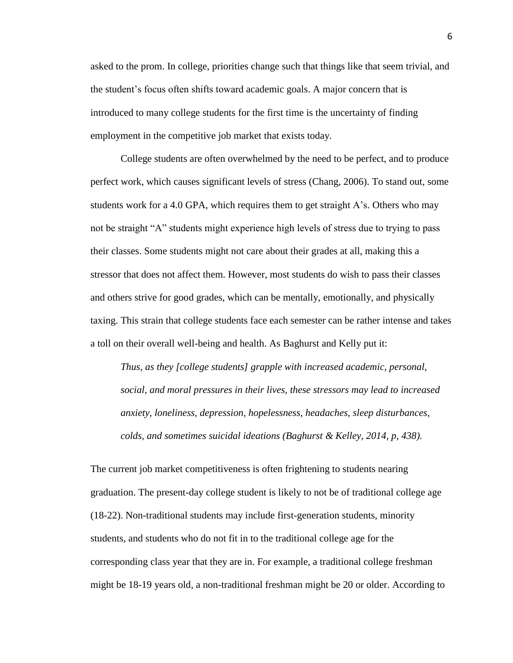asked to the prom. In college, priorities change such that things like that seem trivial, and the student's focus often shifts toward academic goals. A major concern that is introduced to many college students for the first time is the uncertainty of finding employment in the competitive job market that exists today.

College students are often overwhelmed by the need to be perfect, and to produce perfect work, which causes significant levels of stress (Chang, 2006). To stand out, some students work for a 4.0 GPA, which requires them to get straight A's. Others who may not be straight "A" students might experience high levels of stress due to trying to pass their classes. Some students might not care about their grades at all, making this a stressor that does not affect them. However, most students do wish to pass their classes and others strive for good grades, which can be mentally, emotionally, and physically taxing. This strain that college students face each semester can be rather intense and takes a toll on their overall well-being and health. As Baghurst and Kelly put it:

*Thus, as they [college students] grapple with increased academic, personal, social, and moral pressures in their lives, these stressors may lead to increased anxiety, loneliness, depression, hopelessness, headaches, sleep disturbances, colds, and sometimes suicidal ideations (Baghurst & Kelley, 2014, p, 438).*

The current job market competitiveness is often frightening to students nearing graduation. The present-day college student is likely to not be of traditional college age (18-22). Non-traditional students may include first-generation students, minority students, and students who do not fit in to the traditional college age for the corresponding class year that they are in. For example, a traditional college freshman might be 18-19 years old, a non-traditional freshman might be 20 or older. According to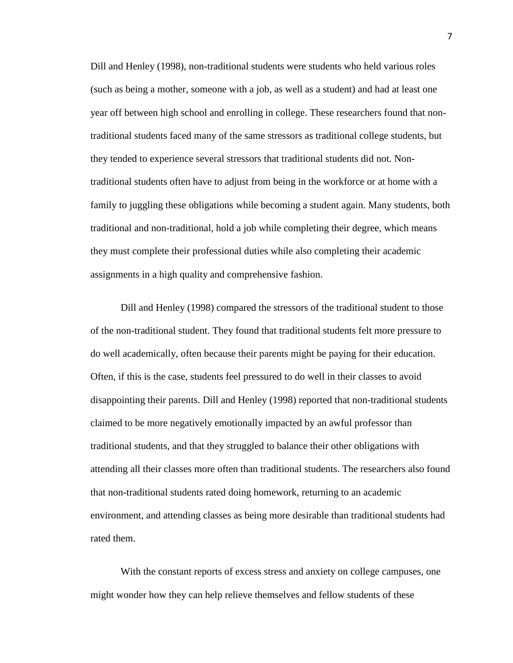Dill and Henley (1998), non-traditional students were students who held various roles (such as being a mother, someone with a job, as well as a student) and had at least one year off between high school and enrolling in college. These researchers found that nontraditional students faced many of the same stressors as traditional college students, but they tended to experience several stressors that traditional students did not. Nontraditional students often have to adjust from being in the workforce or at home with a family to juggling these obligations while becoming a student again. Many students, both traditional and non-traditional, hold a job while completing their degree, which means they must complete their professional duties while also completing their academic assignments in a high quality and comprehensive fashion.

Dill and Henley (1998) compared the stressors of the traditional student to those of the non-traditional student. They found that traditional students felt more pressure to do well academically, often because their parents might be paying for their education. Often, if this is the case, students feel pressured to do well in their classes to avoid disappointing their parents. Dill and Henley (1998) reported that non-traditional students claimed to be more negatively emotionally impacted by an awful professor than traditional students, and that they struggled to balance their other obligations with attending all their classes more often than traditional students. The researchers also found that non-traditional students rated doing homework, returning to an academic environment, and attending classes as being more desirable than traditional students had rated them.

With the constant reports of excess stress and anxiety on college campuses, one might wonder how they can help relieve themselves and fellow students of these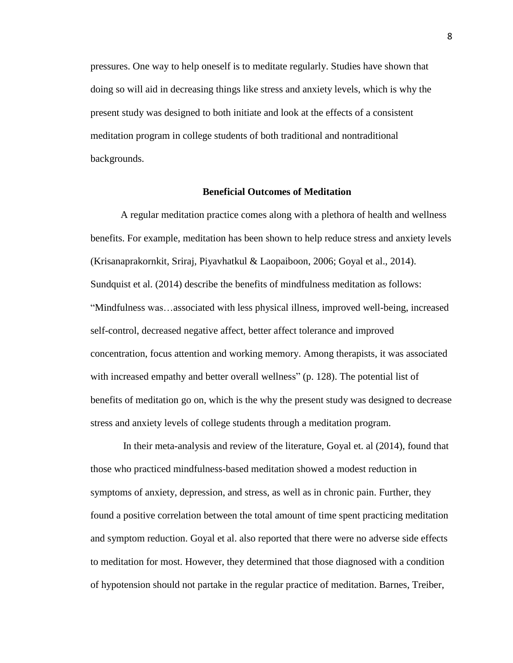pressures. One way to help oneself is to meditate regularly. Studies have shown that doing so will aid in decreasing things like stress and anxiety levels, which is why the present study was designed to both initiate and look at the effects of a consistent meditation program in college students of both traditional and nontraditional backgrounds.

#### **Beneficial Outcomes of Meditation**

A regular meditation practice comes along with a plethora of health and wellness benefits. For example, meditation has been shown to help reduce stress and anxiety levels (Krisanaprakornkit, Sriraj, Piyavhatkul & Laopaiboon, 2006; Goyal et al., 2014). Sundquist et al. (2014) describe the benefits of mindfulness meditation as follows: "Mindfulness was…associated with less physical illness, improved well-being, increased self-control, decreased negative affect, better affect tolerance and improved concentration, focus attention and working memory. Among therapists, it was associated with increased empathy and better overall wellness" (p. 128). The potential list of benefits of meditation go on, which is the why the present study was designed to decrease stress and anxiety levels of college students through a meditation program.

In their meta-analysis and review of the literature, Goyal et. al (2014), found that those who practiced mindfulness-based meditation showed a modest reduction in symptoms of anxiety, depression, and stress, as well as in chronic pain. Further, they found a positive correlation between the total amount of time spent practicing meditation and symptom reduction. Goyal et al. also reported that there were no adverse side effects to meditation for most. However, they determined that those diagnosed with a condition of hypotension should not partake in the regular practice of meditation. Barnes, Treiber,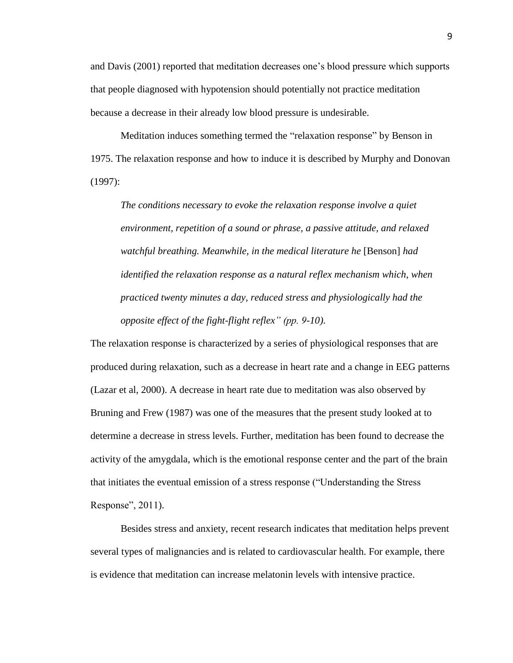and Davis (2001) reported that meditation decreases one's blood pressure which supports that people diagnosed with hypotension should potentially not practice meditation because a decrease in their already low blood pressure is undesirable.

Meditation induces something termed the "relaxation response" by Benson in 1975. The relaxation response and how to induce it is described by Murphy and Donovan (1997):

*The conditions necessary to evoke the relaxation response involve a quiet environment, repetition of a sound or phrase, a passive attitude, and relaxed watchful breathing. Meanwhile, in the medical literature he* [Benson] *had identified the relaxation response as a natural reflex mechanism which, when practiced twenty minutes a day, reduced stress and physiologically had the opposite effect of the fight-flight reflex" (pp. 9-10).*

The relaxation response is characterized by a series of physiological responses that are produced during relaxation, such as a decrease in heart rate and a change in EEG patterns (Lazar et al, 2000). A decrease in heart rate due to meditation was also observed by Bruning and Frew (1987) was one of the measures that the present study looked at to determine a decrease in stress levels. Further, meditation has been found to decrease the activity of the amygdala, which is the emotional response center and the part of the brain that initiates the eventual emission of a stress response ("Understanding the Stress Response", 2011).

Besides stress and anxiety, recent research indicates that meditation helps prevent several types of malignancies and is related to cardiovascular health. For example, there is evidence that meditation can increase melatonin levels with intensive practice.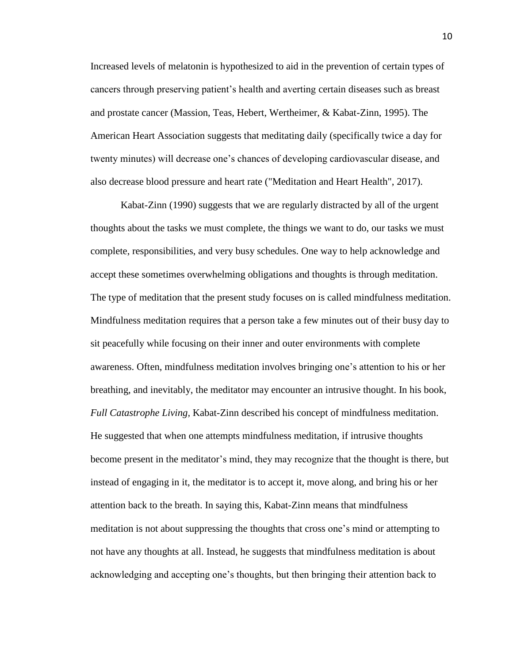Increased levels of melatonin is hypothesized to aid in the prevention of certain types of cancers through preserving patient's health and averting certain diseases such as breast and prostate cancer (Massion, Teas, Hebert, Wertheimer, & Kabat-Zinn, 1995). The American Heart Association suggests that meditating daily (specifically twice a day for twenty minutes) will decrease one's chances of developing cardiovascular disease, and also decrease blood pressure and heart rate ("Meditation and Heart Health", 2017).

Kabat-Zinn (1990) suggests that we are regularly distracted by all of the urgent thoughts about the tasks we must complete, the things we want to do, our tasks we must complete, responsibilities, and very busy schedules. One way to help acknowledge and accept these sometimes overwhelming obligations and thoughts is through meditation. The type of meditation that the present study focuses on is called mindfulness meditation. Mindfulness meditation requires that a person take a few minutes out of their busy day to sit peacefully while focusing on their inner and outer environments with complete awareness. Often, mindfulness meditation involves bringing one's attention to his or her breathing, and inevitably, the meditator may encounter an intrusive thought. In his book, *Full Catastrophe Living,* Kabat-Zinn described his concept of mindfulness meditation. He suggested that when one attempts mindfulness meditation, if intrusive thoughts become present in the meditator's mind, they may recognize that the thought is there, but instead of engaging in it, the meditator is to accept it, move along, and bring his or her attention back to the breath. In saying this, Kabat-Zinn means that mindfulness meditation is not about suppressing the thoughts that cross one's mind or attempting to not have any thoughts at all. Instead, he suggests that mindfulness meditation is about acknowledging and accepting one's thoughts, but then bringing their attention back to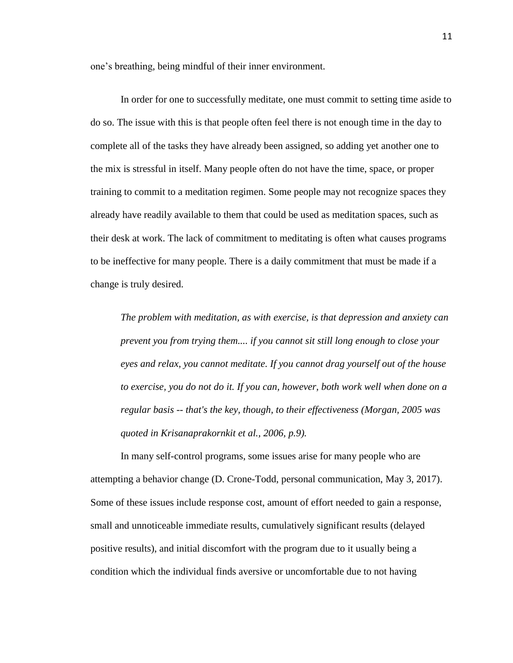one's breathing, being mindful of their inner environment.

In order for one to successfully meditate, one must commit to setting time aside to do so. The issue with this is that people often feel there is not enough time in the day to complete all of the tasks they have already been assigned, so adding yet another one to the mix is stressful in itself. Many people often do not have the time, space, or proper training to commit to a meditation regimen. Some people may not recognize spaces they already have readily available to them that could be used as meditation spaces, such as their desk at work. The lack of commitment to meditating is often what causes programs to be ineffective for many people. There is a daily commitment that must be made if a change is truly desired.

*The problem with meditation, as with exercise, is that depression and anxiety can prevent you from trying them.... if you cannot sit still long enough to close your eyes and relax, you cannot meditate. If you cannot drag yourself out of the house to exercise, you do not do it. If you can, however, both work well when done on a regular basis -- that's the key, though, to their effectiveness (Morgan, 2005 was quoted in Krisanaprakornkit et al., 2006, p.9).* 

In many self-control programs, some issues arise for many people who are attempting a behavior change (D. Crone-Todd, personal communication, May 3, 2017). Some of these issues include response cost, amount of effort needed to gain a response, small and unnoticeable immediate results, cumulatively significant results (delayed positive results), and initial discomfort with the program due to it usually being a condition which the individual finds aversive or uncomfortable due to not having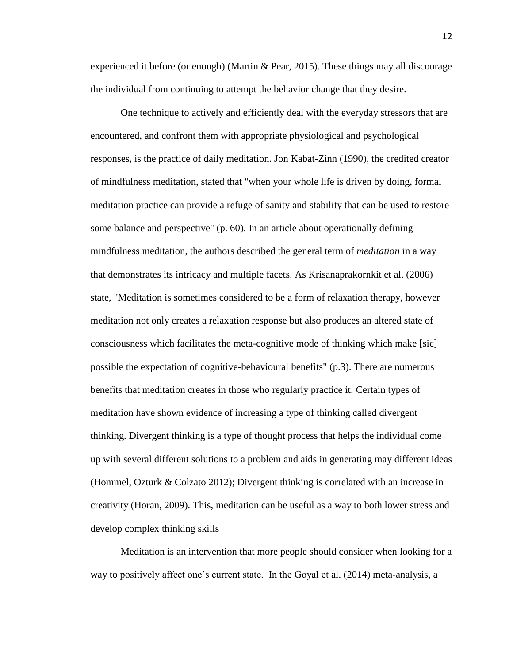experienced it before (or enough) (Martin & Pear, 2015). These things may all discourage the individual from continuing to attempt the behavior change that they desire.

One technique to actively and efficiently deal with the everyday stressors that are encountered, and confront them with appropriate physiological and psychological responses, is the practice of daily meditation. Jon Kabat-Zinn (1990), the credited creator of mindfulness meditation, stated that "when your whole life is driven by doing, formal meditation practice can provide a refuge of sanity and stability that can be used to restore some balance and perspective" (p. 60). In an article about operationally defining mindfulness meditation, the authors described the general term of *meditation* in a way that demonstrates its intricacy and multiple facets. As Krisanaprakornkit et al. (2006) state, "Meditation is sometimes considered to be a form of relaxation therapy, however meditation not only creates a relaxation response but also produces an altered state of consciousness which facilitates the meta-cognitive mode of thinking which make [sic] possible the expectation of cognitive-behavioural benefits" (p.3). There are numerous benefits that meditation creates in those who regularly practice it. Certain types of meditation have shown evidence of increasing a type of thinking called divergent thinking. Divergent thinking is a type of thought process that helps the individual come up with several different solutions to a problem and aids in generating may different ideas (Hommel, Ozturk & Colzato 2012); Divergent thinking is correlated with an increase in creativity (Horan, 2009). This, meditation can be useful as a way to both lower stress and develop complex thinking skills

Meditation is an intervention that more people should consider when looking for a way to positively affect one's current state. In the Goyal et al. (2014) meta-analysis, a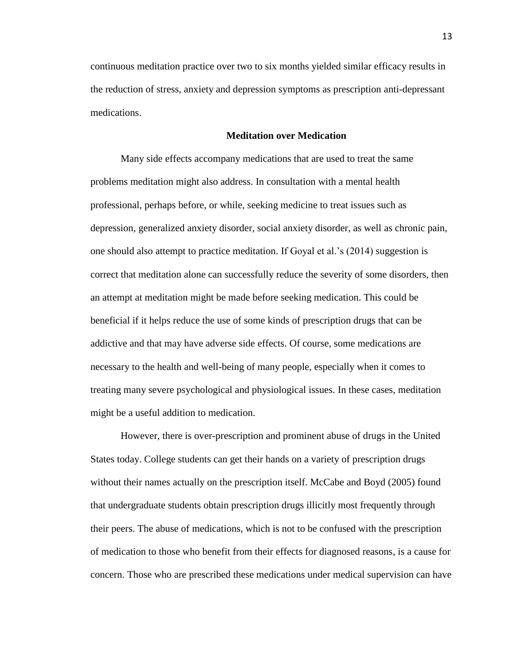continuous meditation practice over two to six months yielded similar efficacy results in the reduction of stress, anxiety and depression symptoms as prescription anti-depressant medications.

## **Meditation over Medication**

Many side effects accompany medications that are used to treat the same problems meditation might also address. In consultation with a mental health professional, perhaps before, or while, seeking medicine to treat issues such as depression, generalized anxiety disorder, social anxiety disorder, as well as chronic pain, one should also attempt to practice meditation. If Goyal et al.'s (2014) suggestion is correct that meditation alone can successfully reduce the severity of some disorders, then an attempt at meditation might be made before seeking medication. This could be beneficial if it helps reduce the use of some kinds of prescription drugs that can be addictive and that may have adverse side effects. Of course, some medications are necessary to the health and well-being of many people, especially when it comes to treating many severe psychological and physiological issues. In these cases, meditation might be a useful addition to medication.

However, there is over-prescription and prominent abuse of drugs in the United States today. College students can get their hands on a variety of prescription drugs without their names actually on the prescription itself. McCabe and Boyd (2005) found that undergraduate students obtain prescription drugs illicitly most frequently through their peers. The abuse of medications, which is not to be confused with the prescription of medication to those who benefit from their effects for diagnosed reasons, is a cause for concern. Those who are prescribed these medications under medical supervision can have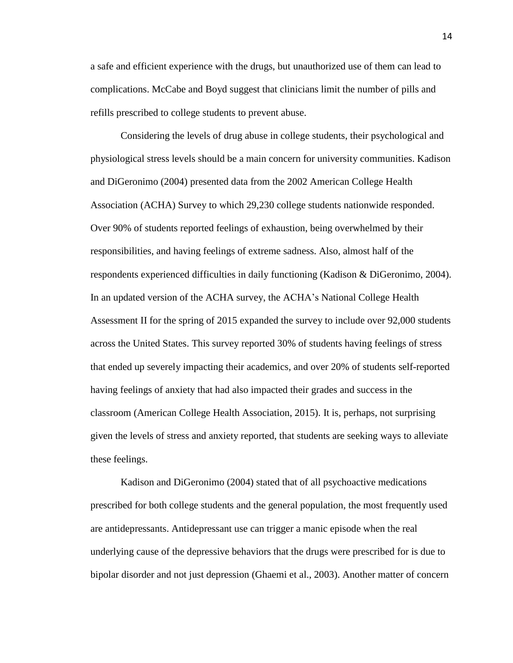a safe and efficient experience with the drugs, but unauthorized use of them can lead to complications. McCabe and Boyd suggest that clinicians limit the number of pills and refills prescribed to college students to prevent abuse.

Considering the levels of drug abuse in college students, their psychological and physiological stress levels should be a main concern for university communities. Kadison and DiGeronimo (2004) presented data from the 2002 American College Health Association (ACHA) Survey to which 29,230 college students nationwide responded. Over 90% of students reported feelings of exhaustion, being overwhelmed by their responsibilities, and having feelings of extreme sadness. Also, almost half of the respondents experienced difficulties in daily functioning (Kadison & DiGeronimo, 2004). In an updated version of the ACHA survey, the ACHA's National College Health Assessment II for the spring of 2015 expanded the survey to include over 92,000 students across the United States. This survey reported 30% of students having feelings of stress that ended up severely impacting their academics, and over 20% of students self-reported having feelings of anxiety that had also impacted their grades and success in the classroom (American College Health Association, 2015). It is, perhaps, not surprising given the levels of stress and anxiety reported, that students are seeking ways to alleviate these feelings.

Kadison and DiGeronimo (2004) stated that of all psychoactive medications prescribed for both college students and the general population, the most frequently used are antidepressants. Antidepressant use can trigger a manic episode when the real underlying cause of the depressive behaviors that the drugs were prescribed for is due to bipolar disorder and not just depression (Ghaemi et al., 2003). Another matter of concern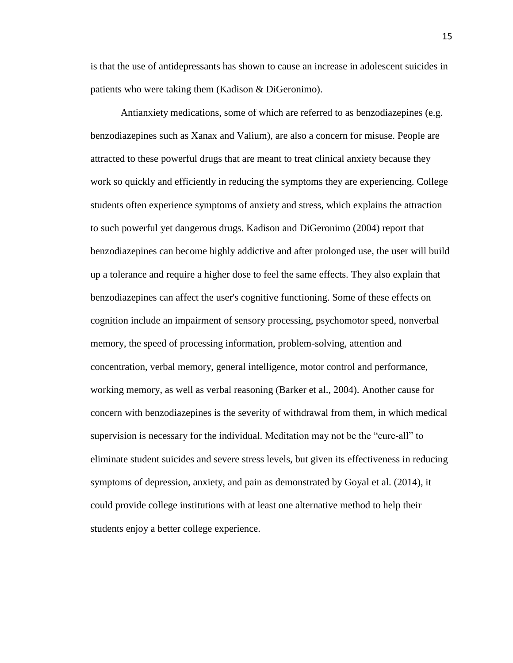is that the use of antidepressants has shown to cause an increase in adolescent suicides in patients who were taking them (Kadison & DiGeronimo).

Antianxiety medications, some of which are referred to as benzodiazepines (e.g. benzodiazepines such as Xanax and Valium), are also a concern for misuse. People are attracted to these powerful drugs that are meant to treat clinical anxiety because they work so quickly and efficiently in reducing the symptoms they are experiencing. College students often experience symptoms of anxiety and stress, which explains the attraction to such powerful yet dangerous drugs. Kadison and DiGeronimo (2004) report that benzodiazepines can become highly addictive and after prolonged use, the user will build up a tolerance and require a higher dose to feel the same effects. They also explain that benzodiazepines can affect the user's cognitive functioning. Some of these effects on cognition include an impairment of sensory processing, psychomotor speed, nonverbal memory, the speed of processing information, problem-solving, attention and concentration, verbal memory, general intelligence, motor control and performance, working memory, as well as verbal reasoning (Barker et al., 2004). Another cause for concern with benzodiazepines is the severity of withdrawal from them, in which medical supervision is necessary for the individual. Meditation may not be the "cure-all" to eliminate student suicides and severe stress levels, but given its effectiveness in reducing symptoms of depression, anxiety, and pain as demonstrated by Goyal et al. (2014), it could provide college institutions with at least one alternative method to help their students enjoy a better college experience.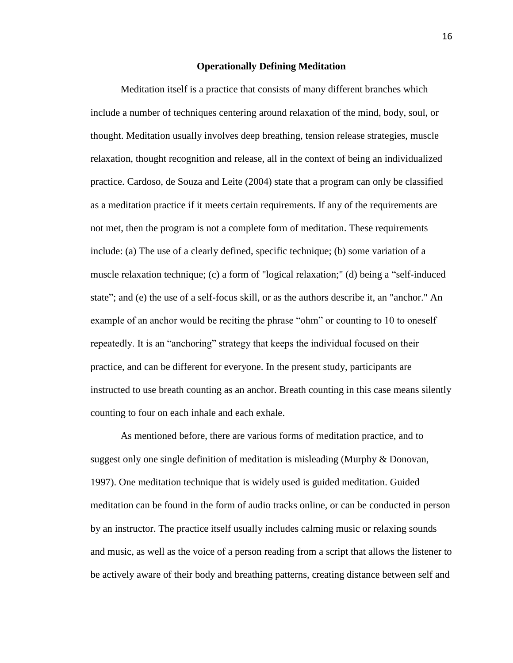#### **Operationally Defining Meditation**

Meditation itself is a practice that consists of many different branches which include a number of techniques centering around relaxation of the mind, body, soul, or thought. Meditation usually involves deep breathing, tension release strategies, muscle relaxation, thought recognition and release, all in the context of being an individualized practice. Cardoso, de Souza and Leite (2004) state that a program can only be classified as a meditation practice if it meets certain requirements. If any of the requirements are not met, then the program is not a complete form of meditation. These requirements include: (a) The use of a clearly defined, specific technique; (b) some variation of a muscle relaxation technique; (c) a form of "logical relaxation;" (d) being a "self-induced state"; and (e) the use of a self-focus skill, or as the authors describe it, an "anchor." An example of an anchor would be reciting the phrase "ohm" or counting to 10 to oneself repeatedly. It is an "anchoring" strategy that keeps the individual focused on their practice, and can be different for everyone. In the present study, participants are instructed to use breath counting as an anchor. Breath counting in this case means silently counting to four on each inhale and each exhale.

As mentioned before, there are various forms of meditation practice, and to suggest only one single definition of meditation is misleading (Murphy & Donovan, 1997). One meditation technique that is widely used is guided meditation. Guided meditation can be found in the form of audio tracks online, or can be conducted in person by an instructor. The practice itself usually includes calming music or relaxing sounds and music, as well as the voice of a person reading from a script that allows the listener to be actively aware of their body and breathing patterns, creating distance between self and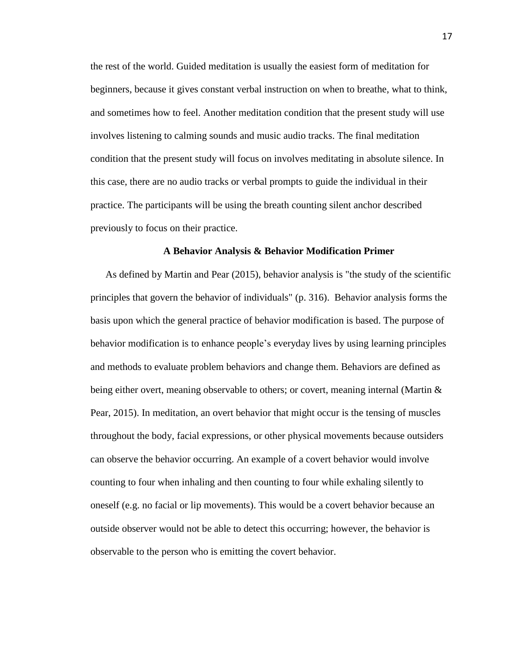the rest of the world. Guided meditation is usually the easiest form of meditation for beginners, because it gives constant verbal instruction on when to breathe, what to think, and sometimes how to feel. Another meditation condition that the present study will use involves listening to calming sounds and music audio tracks. The final meditation condition that the present study will focus on involves meditating in absolute silence. In this case, there are no audio tracks or verbal prompts to guide the individual in their practice. The participants will be using the breath counting silent anchor described previously to focus on their practice.

#### **A Behavior Analysis & Behavior Modification Primer**

As defined by Martin and Pear (2015), behavior analysis is "the study of the scientific principles that govern the behavior of individuals" (p. 316). Behavior analysis forms the basis upon which the general practice of behavior modification is based. The purpose of behavior modification is to enhance people's everyday lives by using learning principles and methods to evaluate problem behaviors and change them. Behaviors are defined as being either overt, meaning observable to others; or covert, meaning internal (Martin & Pear, 2015). In meditation, an overt behavior that might occur is the tensing of muscles throughout the body, facial expressions, or other physical movements because outsiders can observe the behavior occurring. An example of a covert behavior would involve counting to four when inhaling and then counting to four while exhaling silently to oneself (e.g. no facial or lip movements). This would be a covert behavior because an outside observer would not be able to detect this occurring; however, the behavior is observable to the person who is emitting the covert behavior.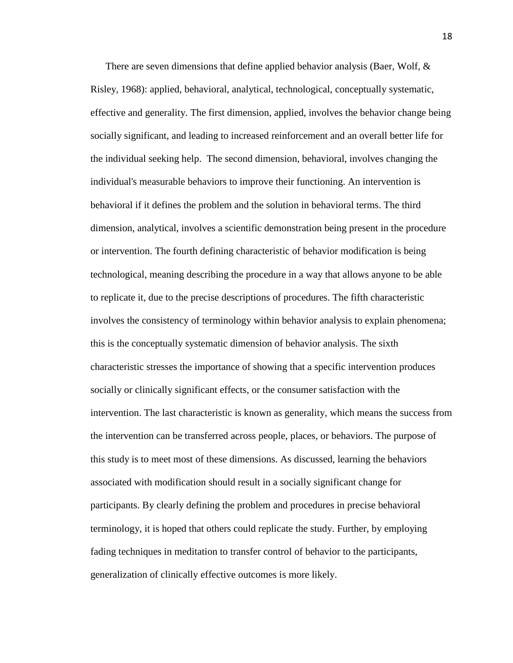There are seven dimensions that define applied behavior analysis (Baer, Wolf, & Risley, 1968): applied, behavioral, analytical, technological, conceptually systematic, effective and generality. The first dimension, applied, involves the behavior change being socially significant, and leading to increased reinforcement and an overall better life for the individual seeking help. The second dimension, behavioral, involves changing the individual's measurable behaviors to improve their functioning. An intervention is behavioral if it defines the problem and the solution in behavioral terms. The third dimension, analytical, involves a scientific demonstration being present in the procedure or intervention. The fourth defining characteristic of behavior modification is being technological, meaning describing the procedure in a way that allows anyone to be able to replicate it, due to the precise descriptions of procedures. The fifth characteristic involves the consistency of terminology within behavior analysis to explain phenomena; this is the conceptually systematic dimension of behavior analysis. The sixth characteristic stresses the importance of showing that a specific intervention produces socially or clinically significant effects, or the consumer satisfaction with the intervention. The last characteristic is known as generality, which means the success from the intervention can be transferred across people, places, or behaviors. The purpose of this study is to meet most of these dimensions. As discussed, learning the behaviors associated with modification should result in a socially significant change for participants. By clearly defining the problem and procedures in precise behavioral terminology, it is hoped that others could replicate the study. Further, by employing fading techniques in meditation to transfer control of behavior to the participants, generalization of clinically effective outcomes is more likely.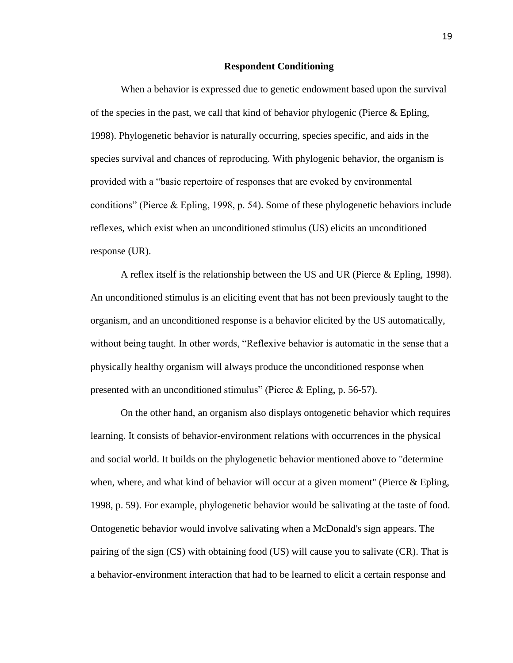#### **Respondent Conditioning**

When a behavior is expressed due to genetic endowment based upon the survival of the species in the past, we call that kind of behavior phylogenic (Pierce  $\&$  Epling, 1998). Phylogenetic behavior is naturally occurring, species specific, and aids in the species survival and chances of reproducing. With phylogenic behavior, the organism is provided with a "basic repertoire of responses that are evoked by environmental conditions" (Pierce & Epling, 1998, p. 54). Some of these phylogenetic behaviors include reflexes, which exist when an unconditioned stimulus (US) elicits an unconditioned response (UR).

A reflex itself is the relationship between the US and UR (Pierce & Epling, 1998). An unconditioned stimulus is an eliciting event that has not been previously taught to the organism, and an unconditioned response is a behavior elicited by the US automatically, without being taught. In other words, "Reflexive behavior is automatic in the sense that a physically healthy organism will always produce the unconditioned response when presented with an unconditioned stimulus" (Pierce & Epling, p. 56-57).

On the other hand, an organism also displays ontogenetic behavior which requires learning. It consists of behavior-environment relations with occurrences in the physical and social world. It builds on the phylogenetic behavior mentioned above to "determine when, where, and what kind of behavior will occur at a given moment" (Pierce & Epling, 1998, p. 59). For example, phylogenetic behavior would be salivating at the taste of food. Ontogenetic behavior would involve salivating when a McDonald's sign appears. The pairing of the sign (CS) with obtaining food (US) will cause you to salivate (CR). That is a behavior-environment interaction that had to be learned to elicit a certain response and

19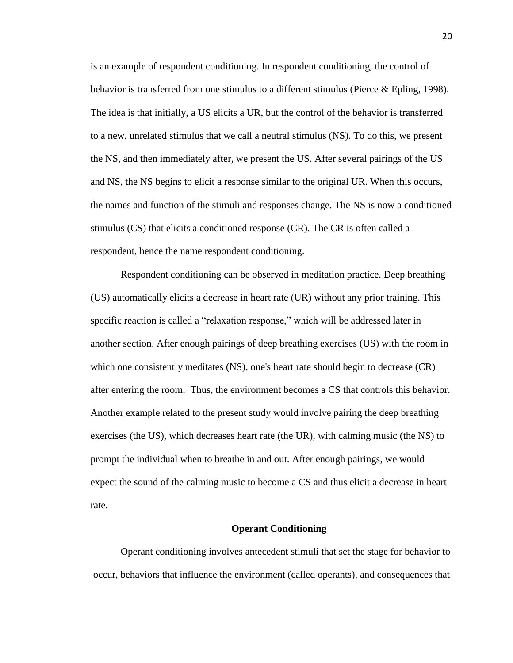is an example of respondent conditioning. In respondent conditioning, the control of behavior is transferred from one stimulus to a different stimulus (Pierce & Epling, 1998). The idea is that initially, a US elicits a UR, but the control of the behavior is transferred to a new, unrelated stimulus that we call a neutral stimulus (NS). To do this, we present the NS, and then immediately after, we present the US. After several pairings of the US and NS, the NS begins to elicit a response similar to the original UR. When this occurs, the names and function of the stimuli and responses change. The NS is now a conditioned stimulus (CS) that elicits a conditioned response (CR). The CR is often called a respondent, hence the name respondent conditioning.

Respondent conditioning can be observed in meditation practice. Deep breathing (US) automatically elicits a decrease in heart rate (UR) without any prior training. This specific reaction is called a "relaxation response," which will be addressed later in another section. After enough pairings of deep breathing exercises (US) with the room in which one consistently meditates (NS), one's heart rate should begin to decrease (CR) after entering the room. Thus, the environment becomes a CS that controls this behavior. Another example related to the present study would involve pairing the deep breathing exercises (the US), which decreases heart rate (the UR), with calming music (the NS) to prompt the individual when to breathe in and out. After enough pairings, we would expect the sound of the calming music to become a CS and thus elicit a decrease in heart rate.

#### **Operant Conditioning**

Operant conditioning involves antecedent stimuli that set the stage for behavior to occur, behaviors that influence the environment (called operants), and consequences that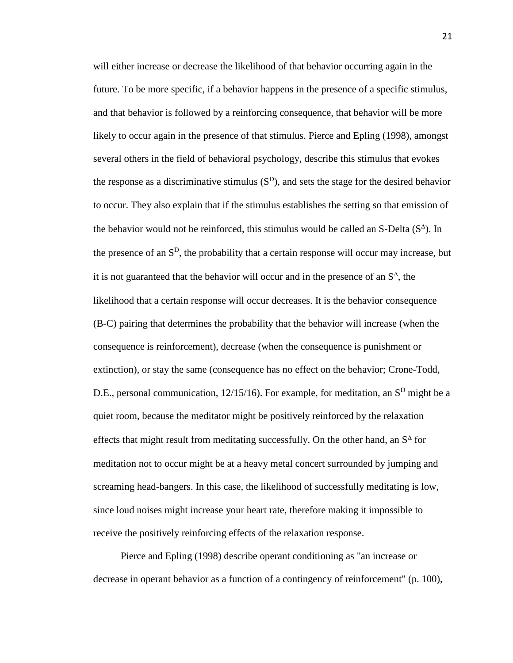will either increase or decrease the likelihood of that behavior occurring again in the future. To be more specific, if a behavior happens in the presence of a specific stimulus, and that behavior is followed by a reinforcing consequence, that behavior will be more likely to occur again in the presence of that stimulus. Pierce and Epling (1998), amongst several others in the field of behavioral psychology, describe this stimulus that evokes the response as a discriminative stimulus  $(S<sup>D</sup>)$ , and sets the stage for the desired behavior to occur. They also explain that if the stimulus establishes the setting so that emission of the behavior would not be reinforced, this stimulus would be called an S-Delta  $(S^{\Delta})$ . In the presence of an  $S<sup>D</sup>$ , the probability that a certain response will occur may increase, but it is not guaranteed that the behavior will occur and in the presence of an  $S^{\Delta}$ , the likelihood that a certain response will occur decreases. It is the behavior consequence (B-C) pairing that determines the probability that the behavior will increase (when the consequence is reinforcement), decrease (when the consequence is punishment or extinction), or stay the same (consequence has no effect on the behavior; Crone-Todd, D.E., personal communication,  $12/15/16$ ). For example, for meditation, an  $S<sup>D</sup>$  might be a quiet room, because the meditator might be positively reinforced by the relaxation effects that might result from meditating successfully. On the other hand, an  $S^{\Delta}$  for meditation not to occur might be at a heavy metal concert surrounded by jumping and screaming head-bangers. In this case, the likelihood of successfully meditating is low, since loud noises might increase your heart rate, therefore making it impossible to receive the positively reinforcing effects of the relaxation response.

Pierce and Epling (1998) describe operant conditioning as "an increase or decrease in operant behavior as a function of a contingency of reinforcement" (p. 100),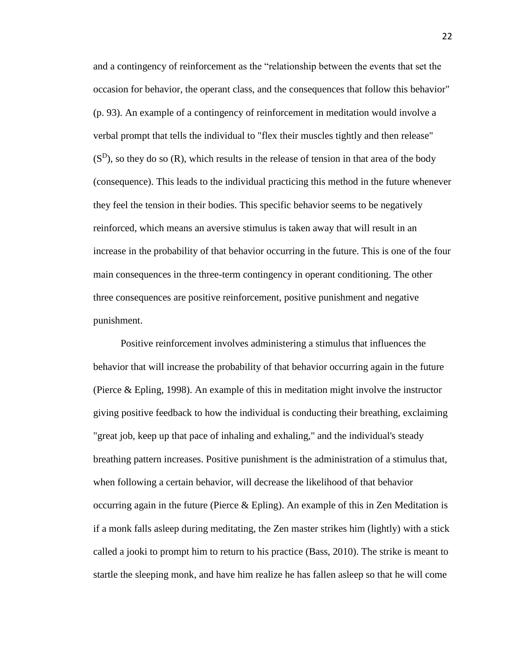and a contingency of reinforcement as the "relationship between the events that set the occasion for behavior, the operant class, and the consequences that follow this behavior" (p. 93). An example of a contingency of reinforcement in meditation would involve a verbal prompt that tells the individual to "flex their muscles tightly and then release"  $(S<sup>D</sup>)$ , so they do so  $(R)$ , which results in the release of tension in that area of the body (consequence). This leads to the individual practicing this method in the future whenever they feel the tension in their bodies. This specific behavior seems to be negatively reinforced, which means an aversive stimulus is taken away that will result in an increase in the probability of that behavior occurring in the future. This is one of the four main consequences in the three-term contingency in operant conditioning. The other three consequences are positive reinforcement, positive punishment and negative punishment.

Positive reinforcement involves administering a stimulus that influences the behavior that will increase the probability of that behavior occurring again in the future (Pierce & Epling, 1998). An example of this in meditation might involve the instructor giving positive feedback to how the individual is conducting their breathing, exclaiming "great job, keep up that pace of inhaling and exhaling," and the individual's steady breathing pattern increases. Positive punishment is the administration of a stimulus that, when following a certain behavior, will decrease the likelihood of that behavior occurring again in the future (Pierce & Epling). An example of this in Zen Meditation is if a monk falls asleep during meditating, the Zen master strikes him (lightly) with a stick called a jooki to prompt him to return to his practice (Bass, 2010). The strike is meant to startle the sleeping monk, and have him realize he has fallen asleep so that he will come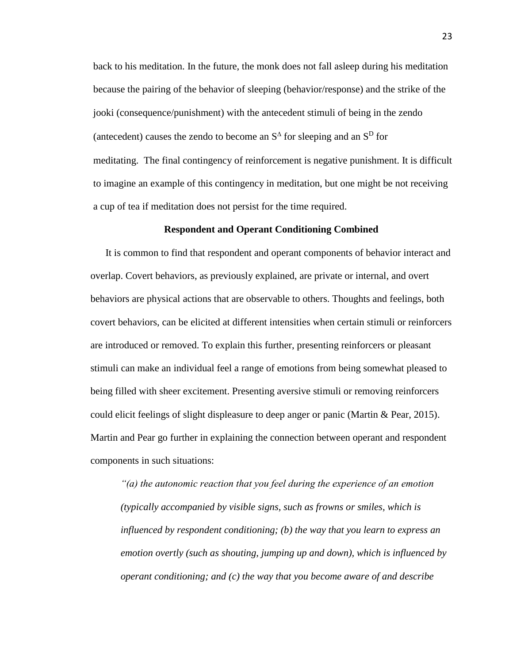back to his meditation. In the future, the monk does not fall asleep during his meditation because the pairing of the behavior of sleeping (behavior/response) and the strike of the jooki (consequence/punishment) with the antecedent stimuli of being in the zendo (antecedent) causes the zendo to become an  $S^{\Delta}$  for sleeping and an  $S^D$  for meditating. The final contingency of reinforcement is negative punishment. It is difficult to imagine an example of this contingency in meditation, but one might be not receiving a cup of tea if meditation does not persist for the time required.

## **Respondent and Operant Conditioning Combined**

It is common to find that respondent and operant components of behavior interact and overlap. Covert behaviors, as previously explained, are private or internal, and overt behaviors are physical actions that are observable to others. Thoughts and feelings, both covert behaviors, can be elicited at different intensities when certain stimuli or reinforcers are introduced or removed. To explain this further, presenting reinforcers or pleasant stimuli can make an individual feel a range of emotions from being somewhat pleased to being filled with sheer excitement. Presenting aversive stimuli or removing reinforcers could elicit feelings of slight displeasure to deep anger or panic (Martin & Pear, 2015). Martin and Pear go further in explaining the connection between operant and respondent components in such situations:

*"(a) the autonomic reaction that you feel during the experience of an emotion (typically accompanied by visible signs, such as frowns or smiles, which is influenced by respondent conditioning; (b) the way that you learn to express an emotion overtly (such as shouting, jumping up and down), which is influenced by operant conditioning; and (c) the way that you become aware of and describe*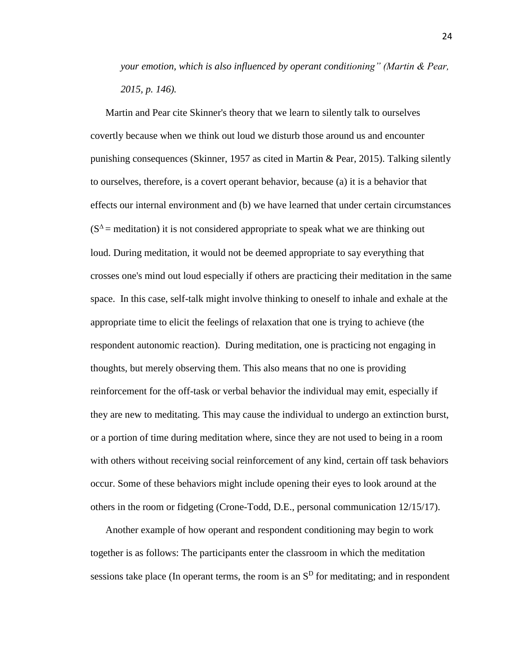*your emotion, which is also influenced by operant conditioning" (Martin & Pear, 2015, p. 146).*

Martin and Pear cite Skinner's theory that we learn to silently talk to ourselves covertly because when we think out loud we disturb those around us and encounter punishing consequences (Skinner, 1957 as cited in Martin & Pear, 2015). Talking silently to ourselves, therefore, is a covert operant behavior, because (a) it is a behavior that effects our internal environment and (b) we have learned that under certain circumstances  $(S^{\Delta}$  = meditation) it is not considered appropriate to speak what we are thinking out loud. During meditation, it would not be deemed appropriate to say everything that crosses one's mind out loud especially if others are practicing their meditation in the same space. In this case, self-talk might involve thinking to oneself to inhale and exhale at the appropriate time to elicit the feelings of relaxation that one is trying to achieve (the respondent autonomic reaction). During meditation, one is practicing not engaging in thoughts, but merely observing them. This also means that no one is providing reinforcement for the off-task or verbal behavior the individual may emit, especially if they are new to meditating. This may cause the individual to undergo an extinction burst, or a portion of time during meditation where, since they are not used to being in a room with others without receiving social reinforcement of any kind, certain off task behaviors occur. Some of these behaviors might include opening their eyes to look around at the others in the room or fidgeting (Crone-Todd, D.E., personal communication 12/15/17).

Another example of how operant and respondent conditioning may begin to work together is as follows: The participants enter the classroom in which the meditation sessions take place (In operant terms, the room is an  $S<sup>D</sup>$  for meditating; and in respondent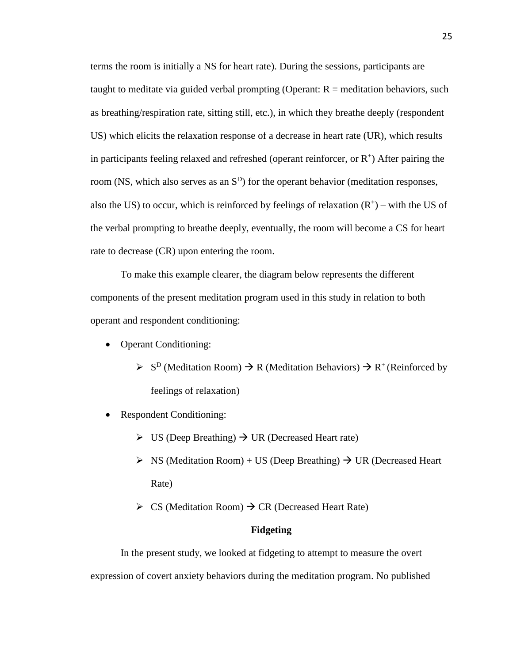terms the room is initially a NS for heart rate). During the sessions, participants are taught to meditate via guided verbal prompting (Operant:  $R =$  meditation behaviors, such as breathing/respiration rate, sitting still, etc.), in which they breathe deeply (respondent US) which elicits the relaxation response of a decrease in heart rate (UR), which results in participants feeling relaxed and refreshed (operant reinforcer, or  $R^+$ ) After pairing the room (NS, which also serves as an  $S<sup>D</sup>$ ) for the operant behavior (meditation responses, also the US) to occur, which is reinforced by feelings of relaxation  $(R<sup>+</sup>)$  – with the US of the verbal prompting to breathe deeply, eventually, the room will become a CS for heart rate to decrease (CR) upon entering the room.

To make this example clearer, the diagram below represents the different components of the present meditation program used in this study in relation to both operant and respondent conditioning:

- Operant Conditioning:
	- $\triangleright$  S<sup>D</sup> (Meditation Room)  $\rightarrow$  R (Meditation Behaviors)  $\rightarrow$  R<sup>+</sup> (Reinforced by feelings of relaxation)
- Respondent Conditioning:
	- $\triangleright$  US (Deep Breathing)  $\rightarrow$  UR (Decreased Heart rate)
	- $\triangleright$  NS (Meditation Room) + US (Deep Breathing)  $\rightarrow$  UR (Decreased Heart Rate)
	- $\triangleright$  CS (Meditation Room)  $\rightarrow$  CR (Decreased Heart Rate)

## **Fidgeting**

In the present study, we looked at fidgeting to attempt to measure the overt expression of covert anxiety behaviors during the meditation program. No published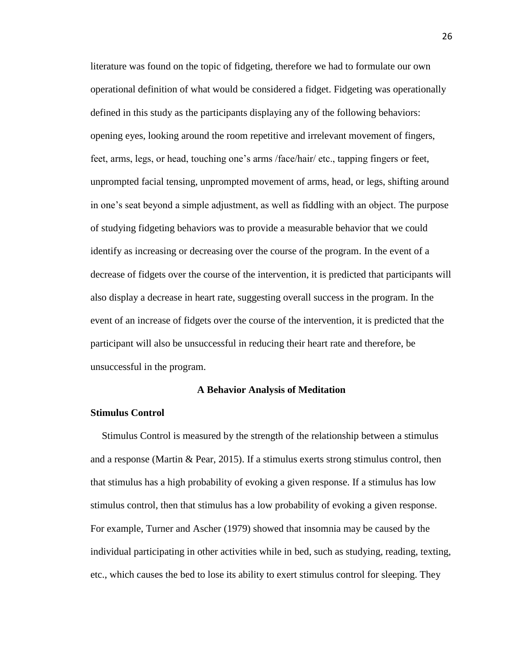literature was found on the topic of fidgeting, therefore we had to formulate our own operational definition of what would be considered a fidget. Fidgeting was operationally defined in this study as the participants displaying any of the following behaviors: opening eyes, looking around the room repetitive and irrelevant movement of fingers, feet, arms, legs, or head, touching one's arms /face/hair/ etc., tapping fingers or feet, unprompted facial tensing, unprompted movement of arms, head, or legs, shifting around in one's seat beyond a simple adjustment, as well as fiddling with an object. The purpose of studying fidgeting behaviors was to provide a measurable behavior that we could identify as increasing or decreasing over the course of the program. In the event of a decrease of fidgets over the course of the intervention, it is predicted that participants will also display a decrease in heart rate, suggesting overall success in the program. In the event of an increase of fidgets over the course of the intervention, it is predicted that the participant will also be unsuccessful in reducing their heart rate and therefore, be unsuccessful in the program.

#### **A Behavior Analysis of Meditation**

#### **Stimulus Control**

Stimulus Control is measured by the strength of the relationship between a stimulus and a response (Martin & Pear, 2015). If a stimulus exerts strong stimulus control, then that stimulus has a high probability of evoking a given response. If a stimulus has low stimulus control, then that stimulus has a low probability of evoking a given response. For example, Turner and Ascher (1979) showed that insomnia may be caused by the individual participating in other activities while in bed, such as studying, reading, texting, etc., which causes the bed to lose its ability to exert stimulus control for sleeping. They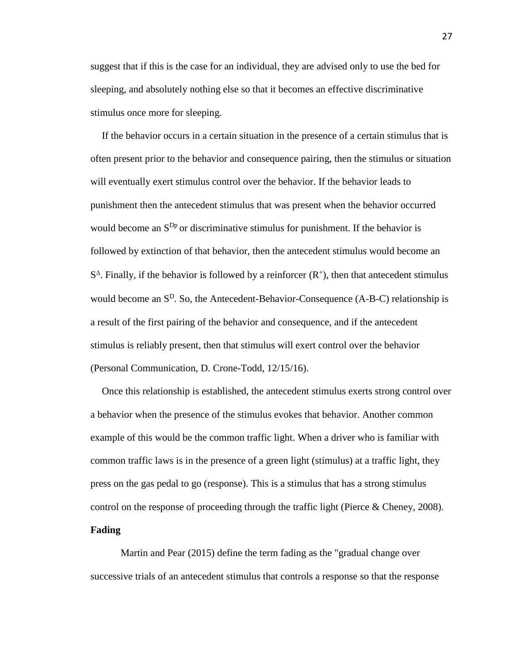suggest that if this is the case for an individual, they are advised only to use the bed for sleeping, and absolutely nothing else so that it becomes an effective discriminative stimulus once more for sleeping.

If the behavior occurs in a certain situation in the presence of a certain stimulus that is often present prior to the behavior and consequence pairing, then the stimulus or situation will eventually exert stimulus control over the behavior. If the behavior leads to punishment then the antecedent stimulus that was present when the behavior occurred would become an  $S^{Dp}$  or discriminative stimulus for punishment. If the behavior is followed by extinction of that behavior, then the antecedent stimulus would become an  $S^{\Delta}$ . Finally, if the behavior is followed by a reinforcer  $(R^{+})$ , then that antecedent stimulus would become an  $S^D$ . So, the Antecedent-Behavior-Consequence (A-B-C) relationship is a result of the first pairing of the behavior and consequence, and if the antecedent stimulus is reliably present, then that stimulus will exert control over the behavior (Personal Communication, D. Crone-Todd, 12/15/16).

Once this relationship is established, the antecedent stimulus exerts strong control over a behavior when the presence of the stimulus evokes that behavior. Another common example of this would be the common traffic light. When a driver who is familiar with common traffic laws is in the presence of a green light (stimulus) at a traffic light, they press on the gas pedal to go (response). This is a stimulus that has a strong stimulus control on the response of proceeding through the traffic light (Pierce & Cheney, 2008). **Fading**

Martin and Pear (2015) define the term fading as the "gradual change over successive trials of an antecedent stimulus that controls a response so that the response

27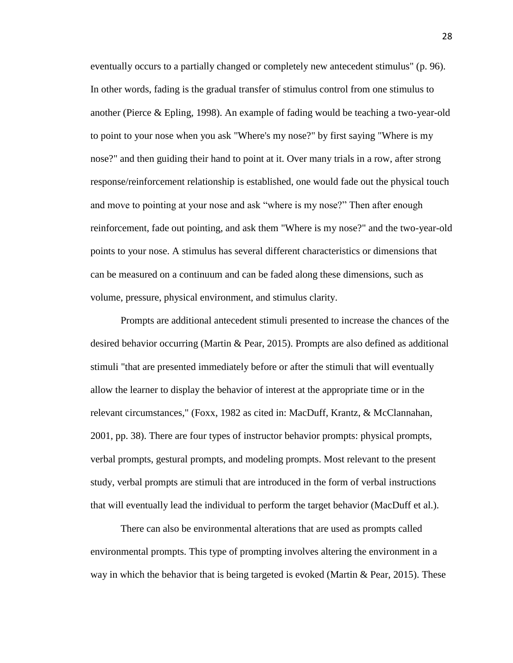eventually occurs to a partially changed or completely new antecedent stimulus" (p. 96). In other words, fading is the gradual transfer of stimulus control from one stimulus to another (Pierce & Epling, 1998). An example of fading would be teaching a two-year-old to point to your nose when you ask "Where's my nose?" by first saying "Where is my nose?" and then guiding their hand to point at it. Over many trials in a row, after strong response/reinforcement relationship is established, one would fade out the physical touch and move to pointing at your nose and ask "where is my nose?" Then after enough reinforcement, fade out pointing, and ask them "Where is my nose?" and the two-year-old points to your nose. A stimulus has several different characteristics or dimensions that can be measured on a continuum and can be faded along these dimensions, such as volume, pressure, physical environment, and stimulus clarity.

Prompts are additional antecedent stimuli presented to increase the chances of the desired behavior occurring (Martin & Pear, 2015). Prompts are also defined as additional stimuli "that are presented immediately before or after the stimuli that will eventually allow the learner to display the behavior of interest at the appropriate time or in the relevant circumstances," (Foxx, 1982 as cited in: MacDuff, Krantz, & McClannahan, 2001, pp. 38). There are four types of instructor behavior prompts: physical prompts, verbal prompts, gestural prompts, and modeling prompts. Most relevant to the present study, verbal prompts are stimuli that are introduced in the form of verbal instructions that will eventually lead the individual to perform the target behavior (MacDuff et al.).

There can also be environmental alterations that are used as prompts called environmental prompts. This type of prompting involves altering the environment in a way in which the behavior that is being targeted is evoked (Martin & Pear, 2015). These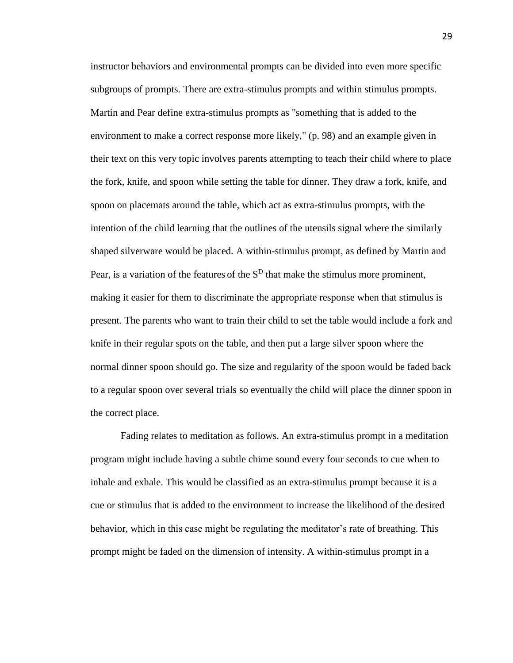instructor behaviors and environmental prompts can be divided into even more specific subgroups of prompts. There are extra-stimulus prompts and within stimulus prompts. Martin and Pear define extra-stimulus prompts as "something that is added to the environment to make a correct response more likely," (p. 98) and an example given in their text on this very topic involves parents attempting to teach their child where to place the fork, knife, and spoon while setting the table for dinner. They draw a fork, knife, and spoon on placemats around the table, which act as extra-stimulus prompts, with the intention of the child learning that the outlines of the utensils signal where the similarly shaped silverware would be placed. A within-stimulus prompt, as defined by Martin and Pear, is a variation of the features of the  $S<sup>D</sup>$  that make the stimulus more prominent, making it easier for them to discriminate the appropriate response when that stimulus is present. The parents who want to train their child to set the table would include a fork and knife in their regular spots on the table, and then put a large silver spoon where the normal dinner spoon should go. The size and regularity of the spoon would be faded back to a regular spoon over several trials so eventually the child will place the dinner spoon in the correct place.

Fading relates to meditation as follows. An extra-stimulus prompt in a meditation program might include having a subtle chime sound every four seconds to cue when to inhale and exhale. This would be classified as an extra-stimulus prompt because it is a cue or stimulus that is added to the environment to increase the likelihood of the desired behavior, which in this case might be regulating the meditator's rate of breathing. This prompt might be faded on the dimension of intensity. A within-stimulus prompt in a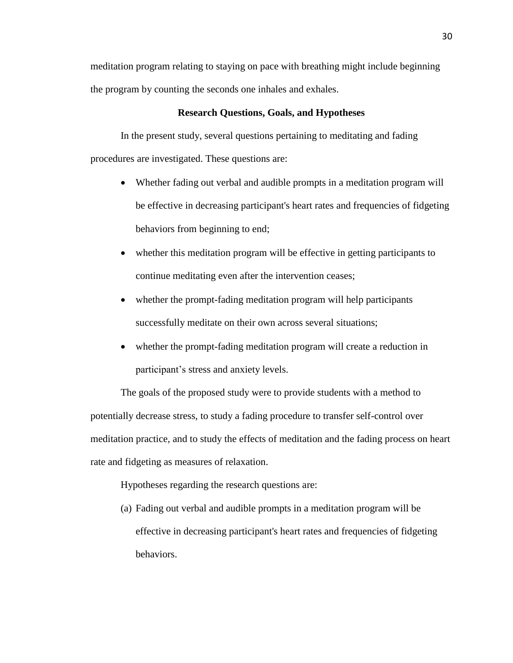meditation program relating to staying on pace with breathing might include beginning the program by counting the seconds one inhales and exhales.

## **Research Questions, Goals, and Hypotheses**

In the present study, several questions pertaining to meditating and fading procedures are investigated. These questions are:

- Whether fading out verbal and audible prompts in a meditation program will be effective in decreasing participant's heart rates and frequencies of fidgeting behaviors from beginning to end;
- whether this meditation program will be effective in getting participants to continue meditating even after the intervention ceases;
- whether the prompt-fading meditation program will help participants successfully meditate on their own across several situations;
- whether the prompt-fading meditation program will create a reduction in participant's stress and anxiety levels.

The goals of the proposed study were to provide students with a method to potentially decrease stress, to study a fading procedure to transfer self-control over meditation practice, and to study the effects of meditation and the fading process on heart rate and fidgeting as measures of relaxation.

Hypotheses regarding the research questions are:

(a) Fading out verbal and audible prompts in a meditation program will be effective in decreasing participant's heart rates and frequencies of fidgeting behaviors.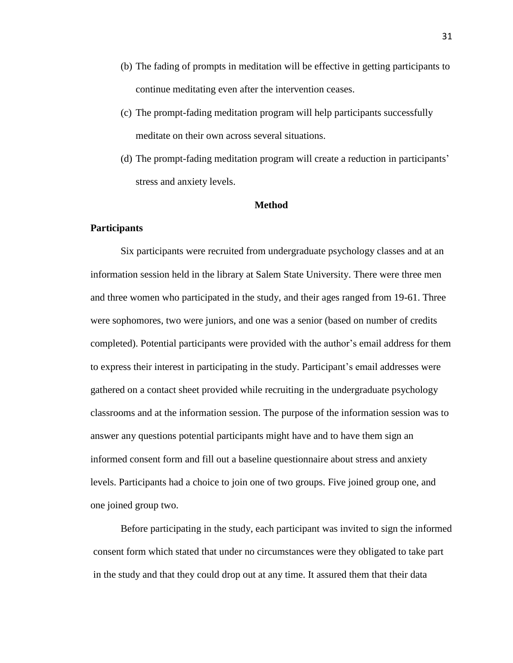- (b) The fading of prompts in meditation will be effective in getting participants to continue meditating even after the intervention ceases.
- (c) The prompt-fading meditation program will help participants successfully meditate on their own across several situations.
- (d) The prompt-fading meditation program will create a reduction in participants' stress and anxiety levels.

## **Method**

## **Participants**

Six participants were recruited from undergraduate psychology classes and at an information session held in the library at Salem State University. There were three men and three women who participated in the study, and their ages ranged from 19-61. Three were sophomores, two were juniors, and one was a senior (based on number of credits completed). Potential participants were provided with the author's email address for them to express their interest in participating in the study. Participant's email addresses were gathered on a contact sheet provided while recruiting in the undergraduate psychology classrooms and at the information session. The purpose of the information session was to answer any questions potential participants might have and to have them sign an informed consent form and fill out a baseline questionnaire about stress and anxiety levels. Participants had a choice to join one of two groups. Five joined group one, and one joined group two.

Before participating in the study, each participant was invited to sign the informed consent form which stated that under no circumstances were they obligated to take part in the study and that they could drop out at any time. It assured them that their data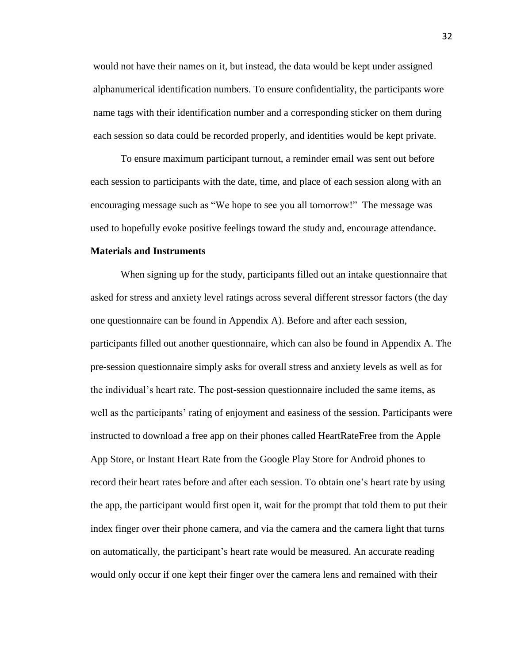would not have their names on it, but instead, the data would be kept under assigned alphanumerical identification numbers. To ensure confidentiality, the participants wore name tags with their identification number and a corresponding sticker on them during each session so data could be recorded properly, and identities would be kept private.

To ensure maximum participant turnout, a reminder email was sent out before each session to participants with the date, time, and place of each session along with an encouraging message such as "We hope to see you all tomorrow!" The message was used to hopefully evoke positive feelings toward the study and, encourage attendance.

## **Materials and Instruments**

When signing up for the study, participants filled out an intake questionnaire that asked for stress and anxiety level ratings across several different stressor factors (the day one questionnaire can be found in Appendix A). Before and after each session, participants filled out another questionnaire, which can also be found in Appendix A. The pre-session questionnaire simply asks for overall stress and anxiety levels as well as for the individual's heart rate. The post-session questionnaire included the same items, as well as the participants' rating of enjoyment and easiness of the session. Participants were instructed to download a free app on their phones called HeartRateFree from the Apple App Store, or Instant Heart Rate from the Google Play Store for Android phones to record their heart rates before and after each session. To obtain one's heart rate by using the app, the participant would first open it, wait for the prompt that told them to put their index finger over their phone camera, and via the camera and the camera light that turns on automatically, the participant's heart rate would be measured. An accurate reading would only occur if one kept their finger over the camera lens and remained with their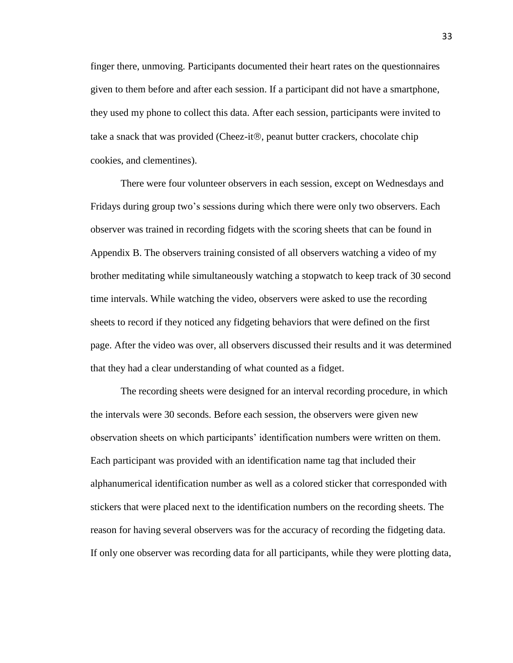finger there, unmoving. Participants documented their heart rates on the questionnaires given to them before and after each session. If a participant did not have a smartphone, they used my phone to collect this data. After each session, participants were invited to take a snack that was provided (Cheez-it®, peanut butter crackers, chocolate chip cookies, and clementines).

There were four volunteer observers in each session, except on Wednesdays and Fridays during group two's sessions during which there were only two observers. Each observer was trained in recording fidgets with the scoring sheets that can be found in Appendix B. The observers training consisted of all observers watching a video of my brother meditating while simultaneously watching a stopwatch to keep track of 30 second time intervals. While watching the video, observers were asked to use the recording sheets to record if they noticed any fidgeting behaviors that were defined on the first page. After the video was over, all observers discussed their results and it was determined that they had a clear understanding of what counted as a fidget.

The recording sheets were designed for an interval recording procedure, in which the intervals were 30 seconds. Before each session, the observers were given new observation sheets on which participants' identification numbers were written on them. Each participant was provided with an identification name tag that included their alphanumerical identification number as well as a colored sticker that corresponded with stickers that were placed next to the identification numbers on the recording sheets. The reason for having several observers was for the accuracy of recording the fidgeting data. If only one observer was recording data for all participants, while they were plotting data,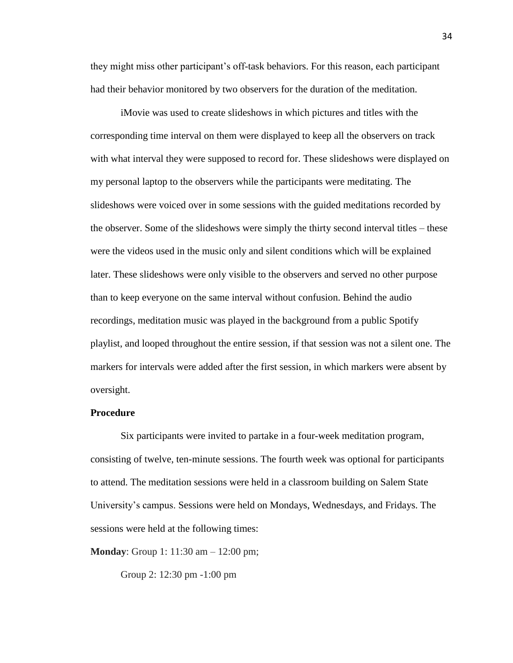they might miss other participant's off-task behaviors. For this reason, each participant had their behavior monitored by two observers for the duration of the meditation.

iMovie was used to create slideshows in which pictures and titles with the corresponding time interval on them were displayed to keep all the observers on track with what interval they were supposed to record for. These slideshows were displayed on my personal laptop to the observers while the participants were meditating. The slideshows were voiced over in some sessions with the guided meditations recorded by the observer. Some of the slideshows were simply the thirty second interval titles – these were the videos used in the music only and silent conditions which will be explained later. These slideshows were only visible to the observers and served no other purpose than to keep everyone on the same interval without confusion. Behind the audio recordings, meditation music was played in the background from a public Spotify playlist, and looped throughout the entire session, if that session was not a silent one. The markers for intervals were added after the first session, in which markers were absent by oversight.

#### **Procedure**

Six participants were invited to partake in a four-week meditation program, consisting of twelve, ten-minute sessions. The fourth week was optional for participants to attend. The meditation sessions were held in a classroom building on Salem State University's campus. Sessions were held on Mondays, Wednesdays, and Fridays. The sessions were held at the following times:

**Monday**: Group 1: 11:30 am – 12:00 pm;

Group 2: 12:30 pm -1:00 pm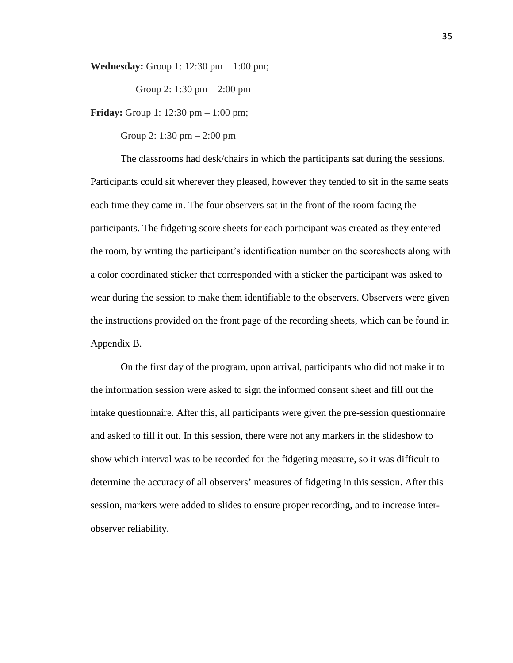**Wednesday:** Group 1: 12:30 pm – 1:00 pm;

Group 2: 1:30 pm – 2:00 pm

**Friday:** Group 1: 12:30 pm – 1:00 pm;

Group 2: 1:30 pm – 2:00 pm

The classrooms had desk/chairs in which the participants sat during the sessions. Participants could sit wherever they pleased, however they tended to sit in the same seats each time they came in. The four observers sat in the front of the room facing the participants. The fidgeting score sheets for each participant was created as they entered the room, by writing the participant's identification number on the scoresheets along with a color coordinated sticker that corresponded with a sticker the participant was asked to wear during the session to make them identifiable to the observers. Observers were given the instructions provided on the front page of the recording sheets, which can be found in Appendix B.

On the first day of the program, upon arrival, participants who did not make it to the information session were asked to sign the informed consent sheet and fill out the intake questionnaire. After this, all participants were given the pre-session questionnaire and asked to fill it out. In this session, there were not any markers in the slideshow to show which interval was to be recorded for the fidgeting measure, so it was difficult to determine the accuracy of all observers' measures of fidgeting in this session. After this session, markers were added to slides to ensure proper recording, and to increase interobserver reliability.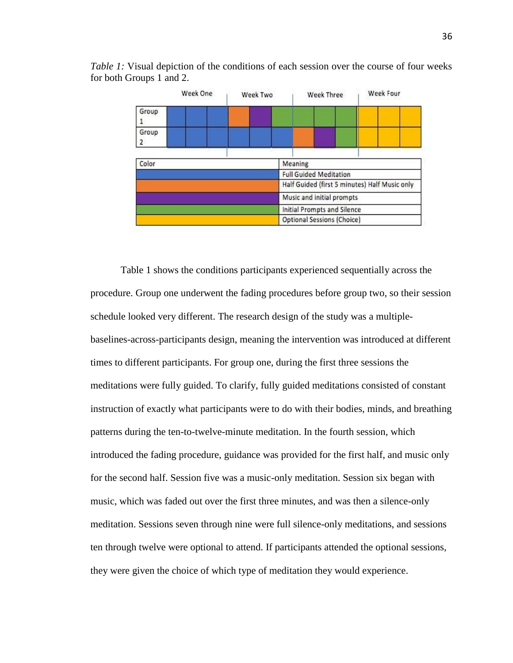

*Table 1:* Visual depiction of the conditions of each session over the course of four weeks for both Groups 1 and 2.

Table 1 shows the conditions participants experienced sequentially across the procedure. Group one underwent the fading procedures before group two, so their session schedule looked very different. The research design of the study was a multiplebaselines-across-participants design, meaning the intervention was introduced at different times to different participants. For group one, during the first three sessions the meditations were fully guided. To clarify, fully guided meditations consisted of constant instruction of exactly what participants were to do with their bodies, minds, and breathing patterns during the ten-to-twelve-minute meditation. In the fourth session, which introduced the fading procedure, guidance was provided for the first half, and music only for the second half. Session five was a music-only meditation. Session six began with music, which was faded out over the first three minutes, and was then a silence-only meditation. Sessions seven through nine were full silence-only meditations, and sessions ten through twelve were optional to attend. If participants attended the optional sessions, they were given the choice of which type of meditation they would experience.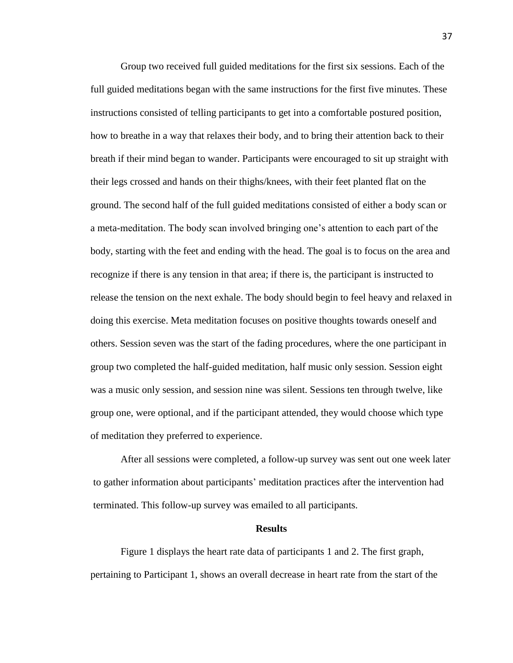Group two received full guided meditations for the first six sessions. Each of the full guided meditations began with the same instructions for the first five minutes. These instructions consisted of telling participants to get into a comfortable postured position, how to breathe in a way that relaxes their body, and to bring their attention back to their breath if their mind began to wander. Participants were encouraged to sit up straight with their legs crossed and hands on their thighs/knees, with their feet planted flat on the ground. The second half of the full guided meditations consisted of either a body scan or a meta-meditation. The body scan involved bringing one's attention to each part of the body, starting with the feet and ending with the head. The goal is to focus on the area and recognize if there is any tension in that area; if there is, the participant is instructed to release the tension on the next exhale. The body should begin to feel heavy and relaxed in doing this exercise. Meta meditation focuses on positive thoughts towards oneself and others. Session seven was the start of the fading procedures, where the one participant in group two completed the half-guided meditation, half music only session. Session eight was a music only session, and session nine was silent. Sessions ten through twelve, like group one, were optional, and if the participant attended, they would choose which type of meditation they preferred to experience.

After all sessions were completed, a follow-up survey was sent out one week later to gather information about participants' meditation practices after the intervention had terminated. This follow-up survey was emailed to all participants.

#### **Results**

Figure 1 displays the heart rate data of participants 1 and 2. The first graph, pertaining to Participant 1, shows an overall decrease in heart rate from the start of the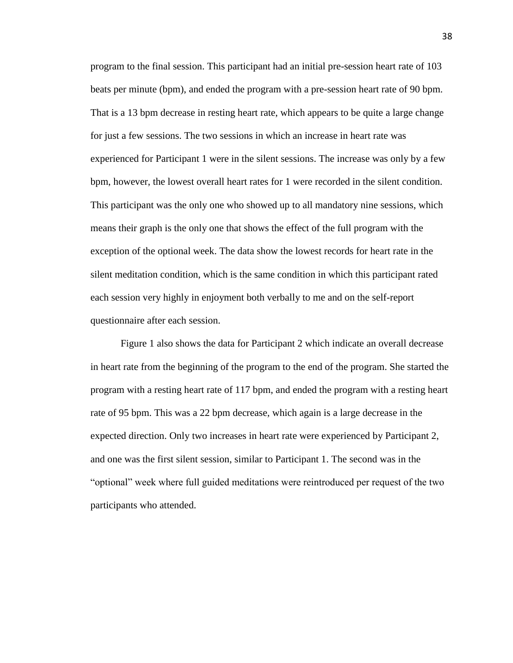program to the final session. This participant had an initial pre-session heart rate of 103 beats per minute (bpm), and ended the program with a pre-session heart rate of 90 bpm. That is a 13 bpm decrease in resting heart rate, which appears to be quite a large change for just a few sessions. The two sessions in which an increase in heart rate was experienced for Participant 1 were in the silent sessions. The increase was only by a few bpm, however, the lowest overall heart rates for 1 were recorded in the silent condition. This participant was the only one who showed up to all mandatory nine sessions, which means their graph is the only one that shows the effect of the full program with the exception of the optional week. The data show the lowest records for heart rate in the silent meditation condition, which is the same condition in which this participant rated each session very highly in enjoyment both verbally to me and on the self-report questionnaire after each session.

Figure 1 also shows the data for Participant 2 which indicate an overall decrease in heart rate from the beginning of the program to the end of the program. She started the program with a resting heart rate of 117 bpm, and ended the program with a resting heart rate of 95 bpm. This was a 22 bpm decrease, which again is a large decrease in the expected direction. Only two increases in heart rate were experienced by Participant 2, and one was the first silent session, similar to Participant 1. The second was in the "optional" week where full guided meditations were reintroduced per request of the two participants who attended.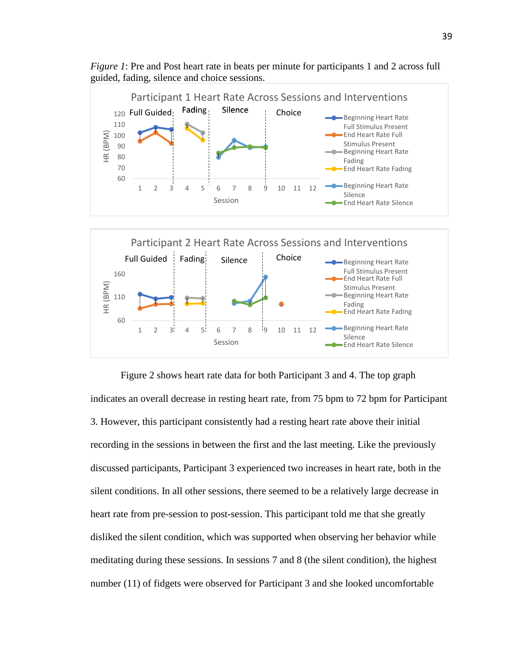

Fading

Silence

End Heart Rate Fading

Beginning Heart Rate

End Heart Rate Silence

1 2 3 4 5 6 7 8 9 10 11 12

Session

60

*Figure 1*: Pre and Post heart rate in beats per minute for participants 1 and 2 across full guided, fading, silence and choice sessions.

Figure 2 shows heart rate data for both Participant 3 and 4. The top graph indicates an overall decrease in resting heart rate, from 75 bpm to 72 bpm for Participant 3. However, this participant consistently had a resting heart rate above their initial recording in the sessions in between the first and the last meeting. Like the previously discussed participants, Participant 3 experienced two increases in heart rate, both in the silent conditions. In all other sessions, there seemed to be a relatively large decrease in heart rate from pre-session to post-session. This participant told me that she greatly disliked the silent condition, which was supported when observing her behavior while meditating during these sessions. In sessions 7 and 8 (the silent condition), the highest number (11) of fidgets were observed for Participant 3 and she looked uncomfortable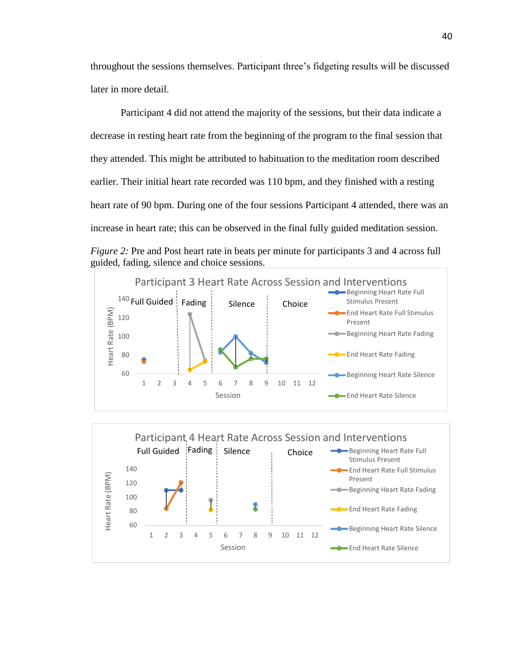throughout the sessions themselves. Participant three's fidgeting results will be discussed later in more detail.

Participant 4 did not attend the majority of the sessions, but their data indicate a decrease in resting heart rate from the beginning of the program to the final session that they attended. This might be attributed to habituation to the meditation room described earlier. Their initial heart rate recorded was 110 bpm, and they finished with a resting heart rate of 90 bpm. During one of the four sessions Participant 4 attended, there was an increase in heart rate; this can be observed in the final fully guided meditation session. *Figure 2:* Pre and Post heart rate in beats per minute for participants 3 and 4 across full guided, fading, silence and choice sessions.





40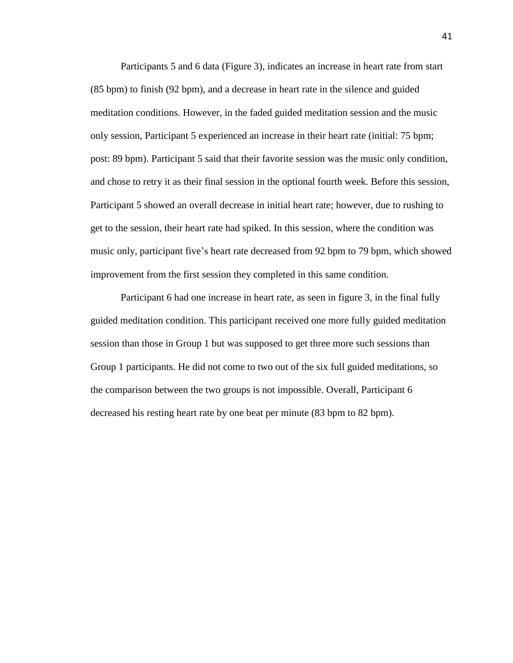Participants 5 and 6 data (Figure 3), indicates an increase in heart rate from start (85 bpm) to finish (92 bpm), and a decrease in heart rate in the silence and guided meditation conditions. However, in the faded guided meditation session and the music only session, Participant 5 experienced an increase in their heart rate (initial: 75 bpm; post: 89 bpm). Participant 5 said that their favorite session was the music only condition, and chose to retry it as their final session in the optional fourth week. Before this session, Participant 5 showed an overall decrease in initial heart rate; however, due to rushing to get to the session, their heart rate had spiked. In this session, where the condition was music only, participant five's heart rate decreased from 92 bpm to 79 bpm, which showed improvement from the first session they completed in this same condition.

Participant 6 had one increase in heart rate, as seen in figure 3, in the final fully guided meditation condition. This participant received one more fully guided meditation session than those in Group 1 but was supposed to get three more such sessions than Group 1 participants. He did not come to two out of the six full guided meditations, so the comparison between the two groups is not impossible. Overall, Participant 6 decreased his resting heart rate by one beat per minute (83 bpm to 82 bpm).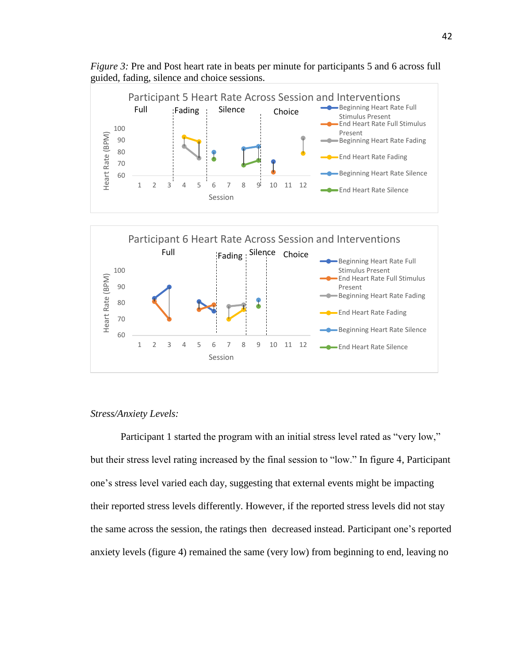

*Figure 3:* Pre and Post heart rate in beats per minute for participants 5 and 6 across full guided, fading, silence and choice sessions.



### *Stress/Anxiety Levels:*

Participant 1 started the program with an initial stress level rated as "very low," but their stress level rating increased by the final session to "low." In figure 4, Participant one's stress level varied each day, suggesting that external events might be impacting their reported stress levels differently. However, if the reported stress levels did not stay the same across the session, the ratings then decreased instead. Participant one's reported anxiety levels (figure 4) remained the same (very low) from beginning to end, leaving no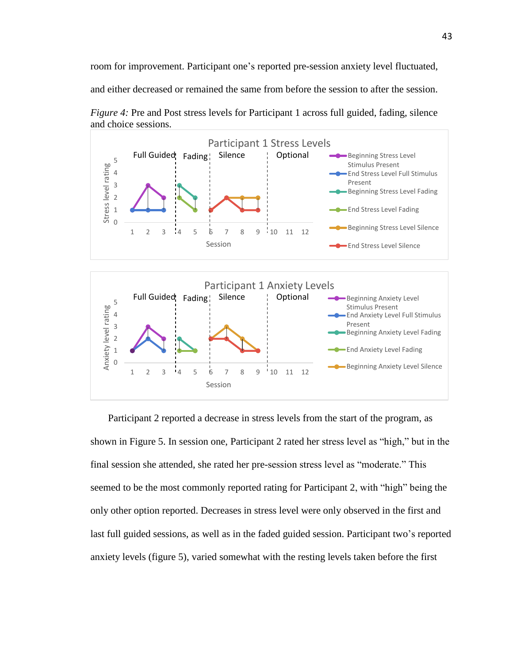room for improvement. Participant one's reported pre-session anxiety level fluctuated,

and either decreased or remained the same from before the session to after the session.



*Figure 4:* Pre and Post stress levels for Participant 1 across full guided, fading, silence and choice sessions.

 Participant 2 reported a decrease in stress levels from the start of the program, as shown in Figure 5. In session one, Participant 2 rated her stress level as "high," but in the final session she attended, she rated her pre-session stress level as "moderate." This seemed to be the most commonly reported rating for Participant 2, with "high" being the only other option reported. Decreases in stress level were only observed in the first and last full guided sessions, as well as in the faded guided session. Participant two's reported anxiety levels (figure 5), varied somewhat with the resting levels taken before the first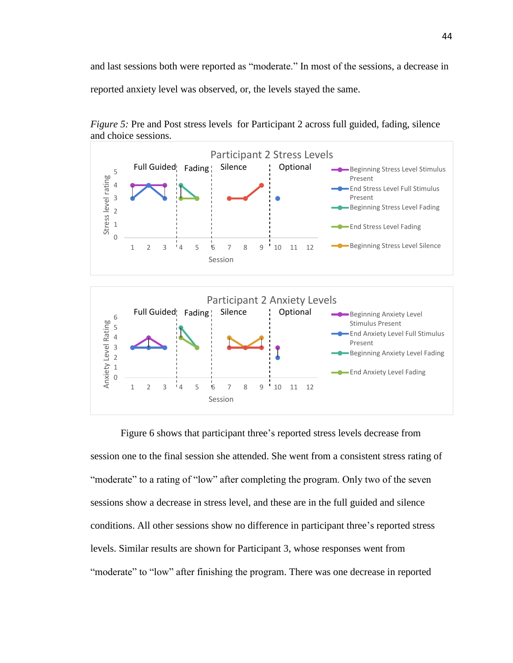and last sessions both were reported as "moderate." In most of the sessions, a decrease in reported anxiety level was observed, or, the levels stayed the same.



*Figure 5:* Pre and Post stress levels for Participant 2 across full guided, fading, silence and choice sessions.

Figure 6 shows that participant three's reported stress levels decrease from session one to the final session she attended. She went from a consistent stress rating of "moderate" to a rating of "low" after completing the program. Only two of the seven sessions show a decrease in stress level, and these are in the full guided and silence conditions. All other sessions show no difference in participant three's reported stress levels. Similar results are shown for Participant 3, whose responses went from "moderate" to "low" after finishing the program. There was one decrease in reported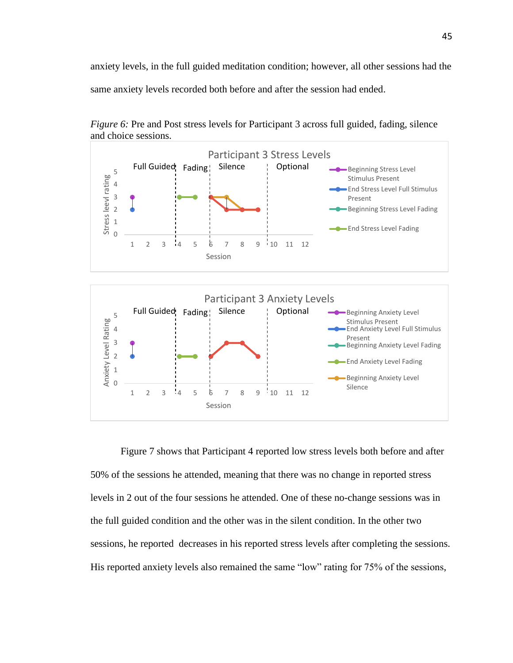anxiety levels, in the full guided meditation condition; however, all other sessions had the same anxiety levels recorded both before and after the session had ended.



*Figure 6:* Pre and Post stress levels for Participant 3 across full guided, fading, silence and choice sessions.

Figure 7 shows that Participant 4 reported low stress levels both before and after 50% of the sessions he attended, meaning that there was no change in reported stress levels in 2 out of the four sessions he attended. One of these no-change sessions was in the full guided condition and the other was in the silent condition. In the other two sessions, he reported decreases in his reported stress levels after completing the sessions. His reported anxiety levels also remained the same "low" rating for 75% of the sessions,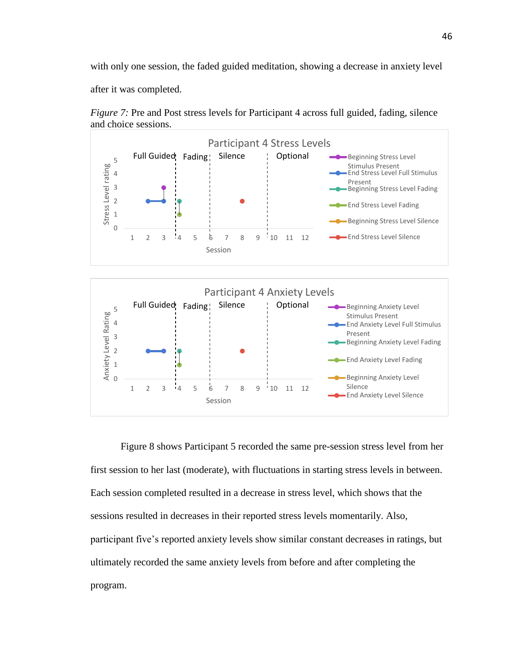with only one session, the faded guided meditation, showing a decrease in anxiety level

after it was completed.



*Figure 7:* Pre and Post stress levels for Participant 4 across full guided, fading, silence and choice sessions.



Figure 8 shows Participant 5 recorded the same pre-session stress level from her first session to her last (moderate), with fluctuations in starting stress levels in between. Each session completed resulted in a decrease in stress level, which shows that the sessions resulted in decreases in their reported stress levels momentarily. Also, participant five's reported anxiety levels show similar constant decreases in ratings, but ultimately recorded the same anxiety levels from before and after completing the program.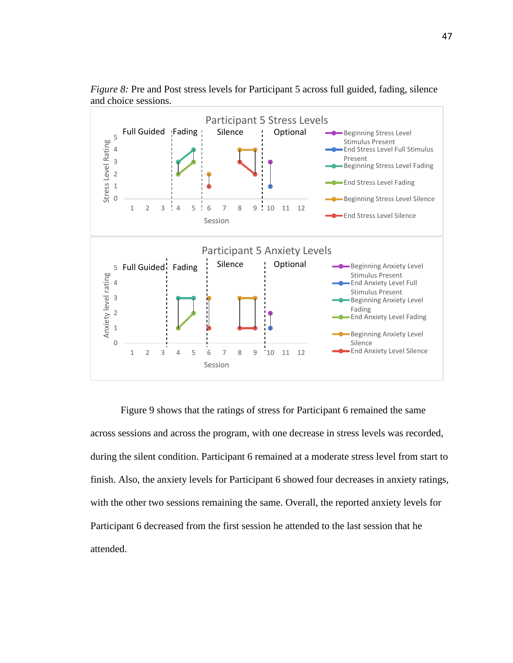

*Figure 8:* Pre and Post stress levels for Participant 5 across full guided, fading, silence and choice sessions.

Figure 9 shows that the ratings of stress for Participant 6 remained the same across sessions and across the program, with one decrease in stress levels was recorded, during the silent condition. Participant 6 remained at a moderate stress level from start to finish. Also, the anxiety levels for Participant 6 showed four decreases in anxiety ratings, with the other two sessions remaining the same. Overall, the reported anxiety levels for Participant 6 decreased from the first session he attended to the last session that he attended.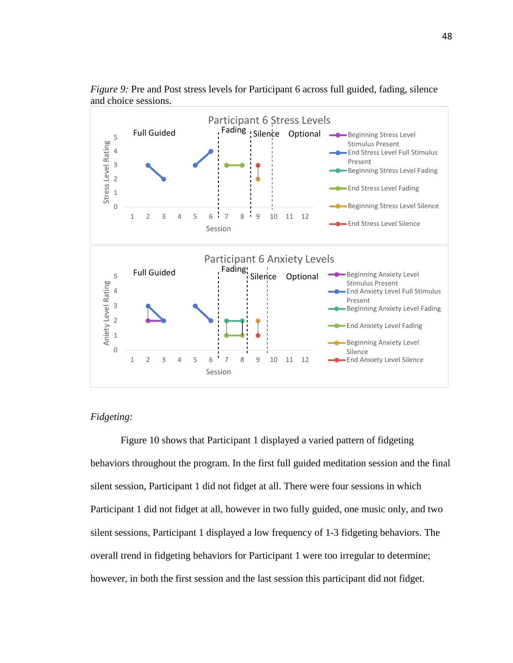

*Figure 9:* Pre and Post stress levels for Participant 6 across full guided, fading, silence and choice sessions.

# *Fidgeting:*

Figure 10 shows that Participant 1 displayed a varied pattern of fidgeting behaviors throughout the program. In the first full guided meditation session and the final silent session, Participant 1 did not fidget at all. There were four sessions in which Participant 1 did not fidget at all, however in two fully guided, one music only, and two silent sessions, Participant 1 displayed a low frequency of 1-3 fidgeting behaviors. The overall trend in fidgeting behaviors for Participant 1 were too irregular to determine; however, in both the first session and the last session this participant did not fidget.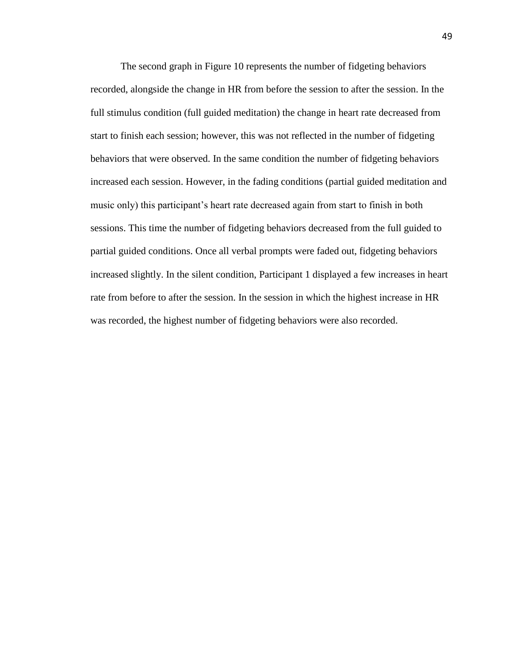The second graph in Figure 10 represents the number of fidgeting behaviors recorded, alongside the change in HR from before the session to after the session. In the full stimulus condition (full guided meditation) the change in heart rate decreased from start to finish each session; however, this was not reflected in the number of fidgeting behaviors that were observed. In the same condition the number of fidgeting behaviors increased each session. However, in the fading conditions (partial guided meditation and music only) this participant's heart rate decreased again from start to finish in both sessions. This time the number of fidgeting behaviors decreased from the full guided to partial guided conditions. Once all verbal prompts were faded out, fidgeting behaviors increased slightly. In the silent condition, Participant 1 displayed a few increases in heart rate from before to after the session. In the session in which the highest increase in HR was recorded, the highest number of fidgeting behaviors were also recorded.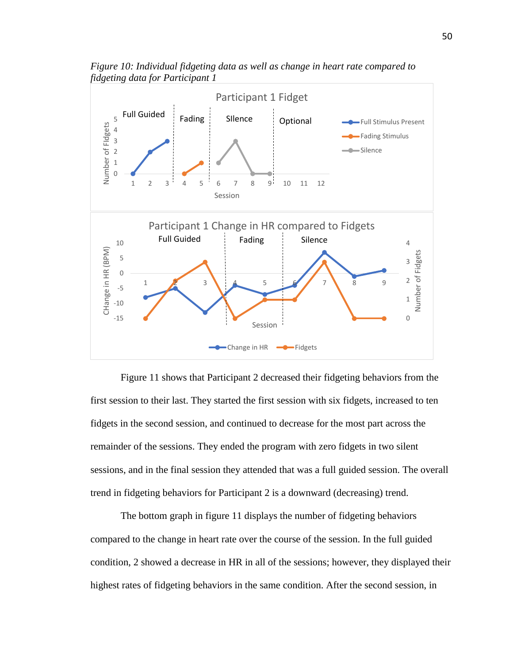

*Figure 10: Individual fidgeting data as well as change in heart rate compared to fidgeting data for Participant 1*

Figure 11 shows that Participant 2 decreased their fidgeting behaviors from the first session to their last. They started the first session with six fidgets, increased to ten fidgets in the second session, and continued to decrease for the most part across the remainder of the sessions. They ended the program with zero fidgets in two silent sessions, and in the final session they attended that was a full guided session. The overall trend in fidgeting behaviors for Participant 2 is a downward (decreasing) trend.

The bottom graph in figure 11 displays the number of fidgeting behaviors compared to the change in heart rate over the course of the session. In the full guided condition, 2 showed a decrease in HR in all of the sessions; however, they displayed their highest rates of fidgeting behaviors in the same condition. After the second session, in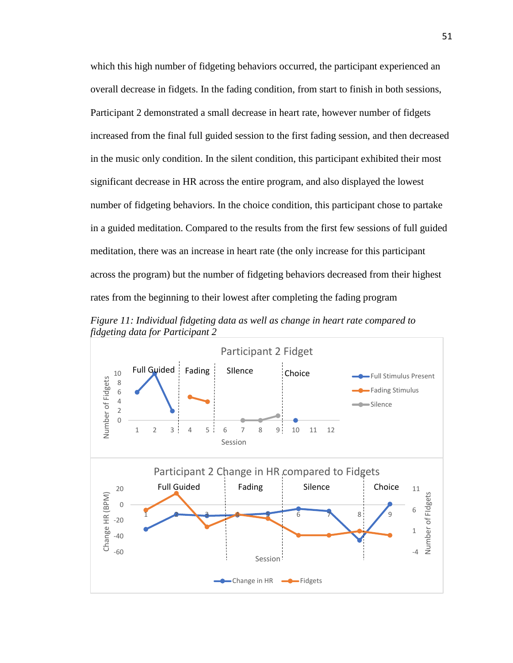which this high number of fidgeting behaviors occurred, the participant experienced an overall decrease in fidgets. In the fading condition, from start to finish in both sessions, Participant 2 demonstrated a small decrease in heart rate, however number of fidgets increased from the final full guided session to the first fading session, and then decreased in the music only condition. In the silent condition, this participant exhibited their most significant decrease in HR across the entire program, and also displayed the lowest number of fidgeting behaviors. In the choice condition, this participant chose to partake in a guided meditation. Compared to the results from the first few sessions of full guided meditation, there was an increase in heart rate (the only increase for this participant across the program) but the number of fidgeting behaviors decreased from their highest rates from the beginning to their lowest after completing the fading program

*Figure 11: Individual fidgeting data as well as change in heart rate compared to fidgeting data for Participant 2*

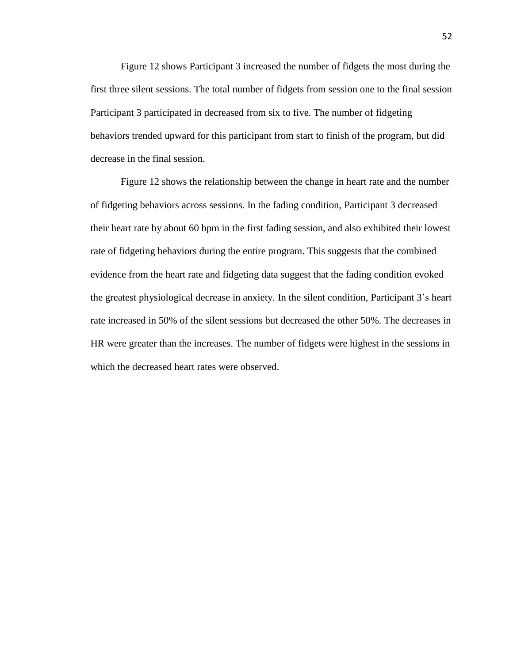Figure 12 shows Participant 3 increased the number of fidgets the most during the first three silent sessions. The total number of fidgets from session one to the final session Participant 3 participated in decreased from six to five. The number of fidgeting behaviors trended upward for this participant from start to finish of the program, but did decrease in the final session.

Figure 12 shows the relationship between the change in heart rate and the number of fidgeting behaviors across sessions. In the fading condition, Participant 3 decreased their heart rate by about 60 bpm in the first fading session, and also exhibited their lowest rate of fidgeting behaviors during the entire program. This suggests that the combined evidence from the heart rate and fidgeting data suggest that the fading condition evoked the greatest physiological decrease in anxiety. In the silent condition, Participant 3's heart rate increased in 50% of the silent sessions but decreased the other 50%. The decreases in HR were greater than the increases. The number of fidgets were highest in the sessions in which the decreased heart rates were observed.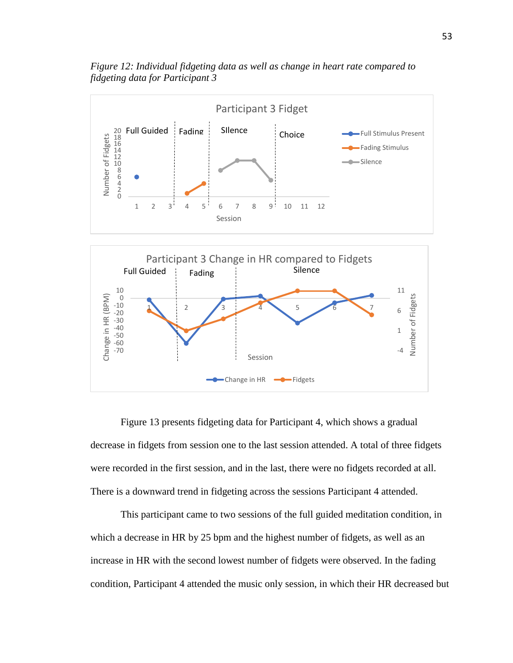

*Figure 12: Individual fidgeting data as well as change in heart rate compared to fidgeting data for Participant 3*

Figure 13 presents fidgeting data for Participant 4, which shows a gradual decrease in fidgets from session one to the last session attended. A total of three fidgets were recorded in the first session, and in the last, there were no fidgets recorded at all. There is a downward trend in fidgeting across the sessions Participant 4 attended.

This participant came to two sessions of the full guided meditation condition, in which a decrease in HR by 25 bpm and the highest number of fidgets, as well as an increase in HR with the second lowest number of fidgets were observed. In the fading condition, Participant 4 attended the music only session, in which their HR decreased but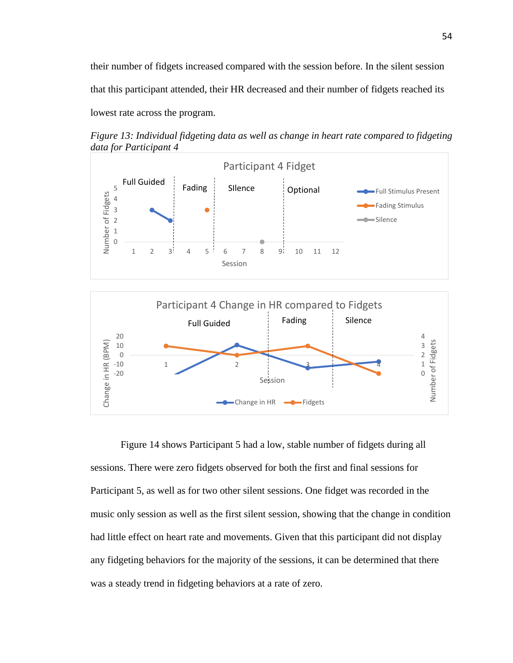their number of fidgets increased compared with the session before. In the silent session that this participant attended, their HR decreased and their number of fidgets reached its lowest rate across the program.

*Figure 13: Individual fidgeting data as well as change in heart rate compared to fidgeting data for Participant 4*



Figure 14 shows Participant 5 had a low, stable number of fidgets during all sessions. There were zero fidgets observed for both the first and final sessions for Participant 5, as well as for two other silent sessions. One fidget was recorded in the music only session as well as the first silent session, showing that the change in condition had little effect on heart rate and movements. Given that this participant did not display any fidgeting behaviors for the majority of the sessions, it can be determined that there was a steady trend in fidgeting behaviors at a rate of zero.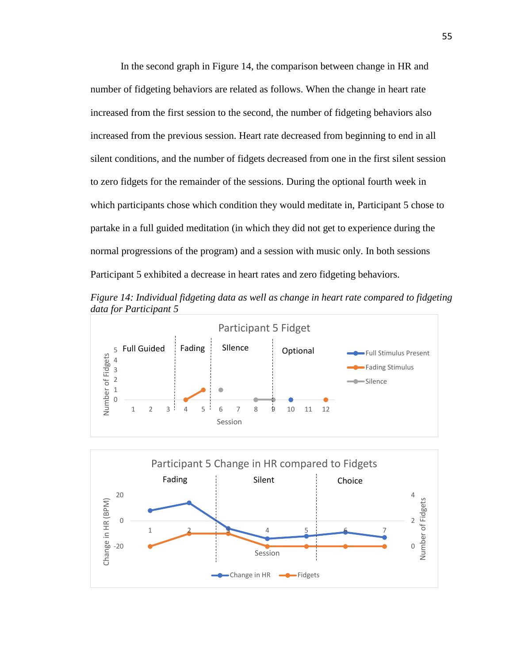In the second graph in Figure 14, the comparison between change in HR and number of fidgeting behaviors are related as follows. When the change in heart rate increased from the first session to the second, the number of fidgeting behaviors also increased from the previous session. Heart rate decreased from beginning to end in all silent conditions, and the number of fidgets decreased from one in the first silent session to zero fidgets for the remainder of the sessions. During the optional fourth week in which participants chose which condition they would meditate in, Participant 5 chose to partake in a full guided meditation (in which they did not get to experience during the normal progressions of the program) and a session with music only. In both sessions Participant 5 exhibited a decrease in heart rates and zero fidgeting behaviors.

*Figure 14: Individual fidgeting data as well as change in heart rate compared to fidgeting data for Participant 5*



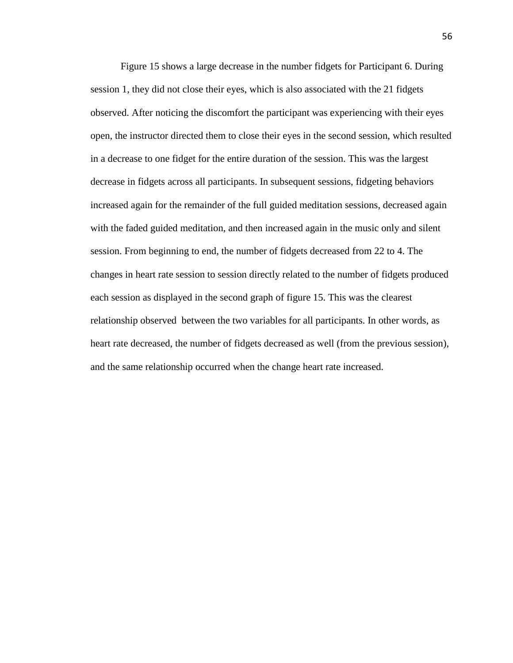Figure 15 shows a large decrease in the number fidgets for Participant 6. During session 1, they did not close their eyes, which is also associated with the 21 fidgets observed. After noticing the discomfort the participant was experiencing with their eyes open, the instructor directed them to close their eyes in the second session, which resulted in a decrease to one fidget for the entire duration of the session. This was the largest decrease in fidgets across all participants. In subsequent sessions, fidgeting behaviors increased again for the remainder of the full guided meditation sessions, decreased again with the faded guided meditation, and then increased again in the music only and silent session. From beginning to end, the number of fidgets decreased from 22 to 4. The changes in heart rate session to session directly related to the number of fidgets produced each session as displayed in the second graph of figure 15. This was the clearest relationship observed between the two variables for all participants. In other words, as heart rate decreased, the number of fidgets decreased as well (from the previous session), and the same relationship occurred when the change heart rate increased.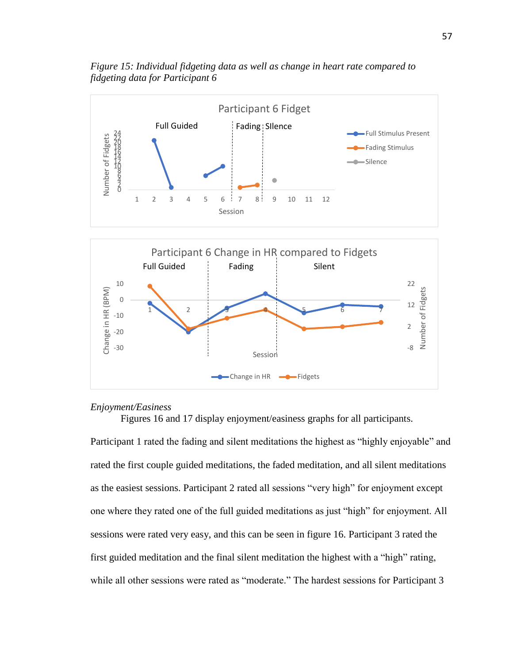

*Figure 15: Individual fidgeting data as well as change in heart rate compared to fidgeting data for Participant 6*

#### *Enjoyment/Easiness*

-30 -20

Figures 16 and 17 display enjoyment/easiness graphs for all participants.

Session

 $-$ Change in HR  $-$ Fidgets

Participant 1 rated the fading and silent meditations the highest as "highly enjoyable" and rated the first couple guided meditations, the faded meditation, and all silent meditations as the easiest sessions. Participant 2 rated all sessions "very high" for enjoyment except one where they rated one of the full guided meditations as just "high" for enjoyment. All sessions were rated very easy, and this can be seen in figure 16. Participant 3 rated the first guided meditation and the final silent meditation the highest with a "high" rating, while all other sessions were rated as "moderate." The hardest sessions for Participant 3

-8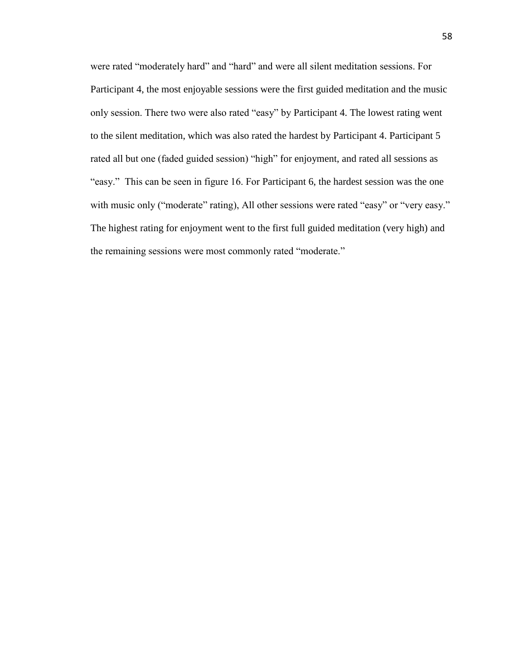were rated "moderately hard" and "hard" and were all silent meditation sessions. For Participant 4, the most enjoyable sessions were the first guided meditation and the music only session. There two were also rated "easy" by Participant 4. The lowest rating went to the silent meditation, which was also rated the hardest by Participant 4. Participant 5 rated all but one (faded guided session) "high" for enjoyment, and rated all sessions as "easy." This can be seen in figure 16. For Participant 6, the hardest session was the one with music only ("moderate" rating), All other sessions were rated "easy" or "very easy." The highest rating for enjoyment went to the first full guided meditation (very high) and the remaining sessions were most commonly rated "moderate."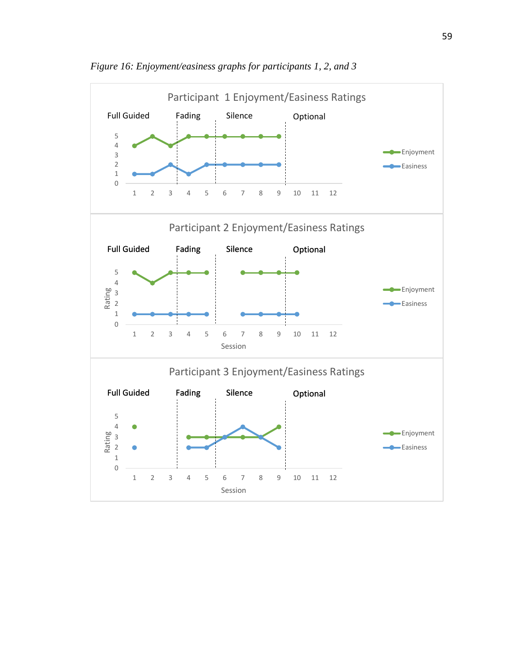

*Figure 16: Enjoyment/easiness graphs for participants 1, 2, and 3*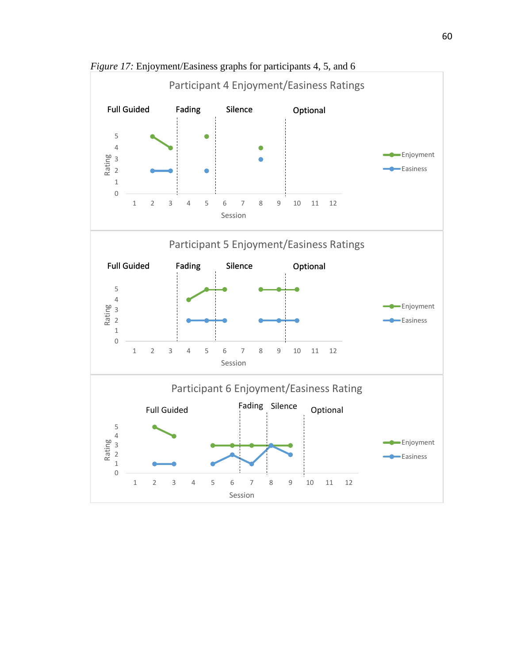

*Figure 17:* Enjoyment/Easiness graphs for participants 4, 5, and 6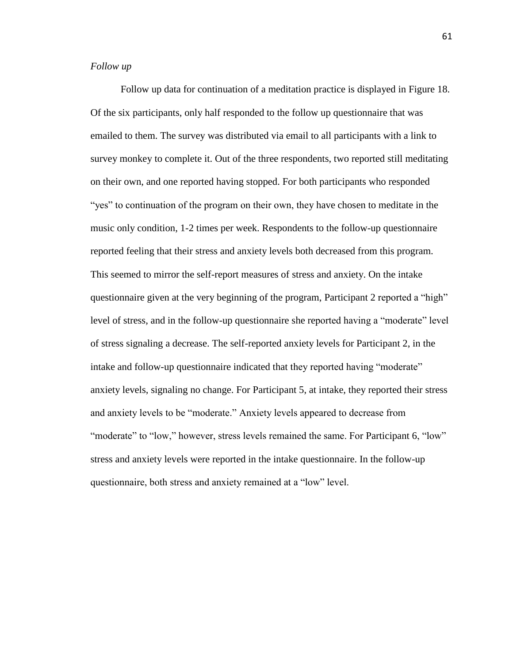## *Follow up*

Follow up data for continuation of a meditation practice is displayed in Figure 18. Of the six participants, only half responded to the follow up questionnaire that was emailed to them. The survey was distributed via email to all participants with a link to survey monkey to complete it. Out of the three respondents, two reported still meditating on their own, and one reported having stopped. For both participants who responded "yes" to continuation of the program on their own, they have chosen to meditate in the music only condition, 1-2 times per week. Respondents to the follow-up questionnaire reported feeling that their stress and anxiety levels both decreased from this program. This seemed to mirror the self-report measures of stress and anxiety. On the intake questionnaire given at the very beginning of the program, Participant 2 reported a "high" level of stress, and in the follow-up questionnaire she reported having a "moderate" level of stress signaling a decrease. The self-reported anxiety levels for Participant 2, in the intake and follow-up questionnaire indicated that they reported having "moderate" anxiety levels, signaling no change. For Participant 5, at intake, they reported their stress and anxiety levels to be "moderate." Anxiety levels appeared to decrease from "moderate" to "low," however, stress levels remained the same. For Participant 6, "low" stress and anxiety levels were reported in the intake questionnaire. In the follow-up questionnaire, both stress and anxiety remained at a "low" level.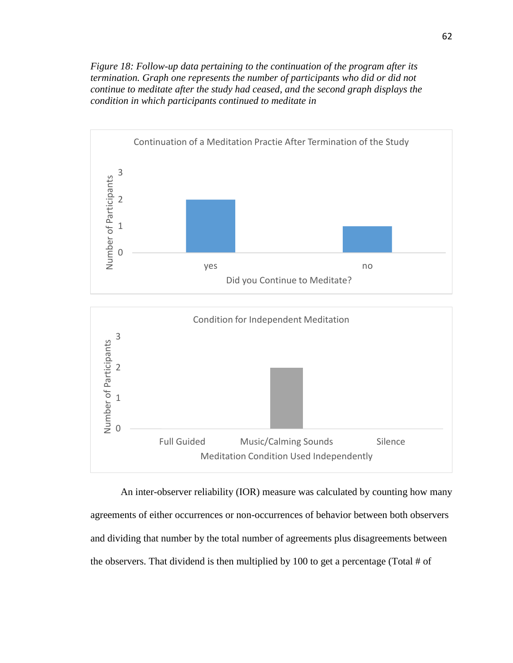*Figure 18: Follow-up data pertaining to the continuation of the program after its termination. Graph one represents the number of participants who did or did not continue to meditate after the study had ceased, and the second graph displays the condition in which participants continued to meditate in*



An inter-observer reliability (IOR) measure was calculated by counting how many agreements of either occurrences or non-occurrences of behavior between both observers and dividing that number by the total number of agreements plus disagreements between the observers. That dividend is then multiplied by 100 to get a percentage (Total # of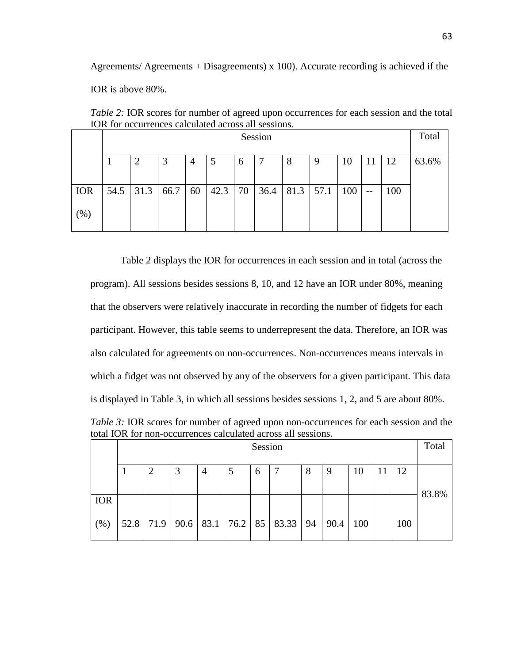Agreements/ Agreements + Disagreements) x 100). Accurate recording is achieved if the

IOR is above 80%.

| TOIX TOI OCCUITENCES CAICUIAICU ACTOSS AIT SCSSIOIIS. |         |      |      |    |      |    |      |      |      |     |       |       |       |
|-------------------------------------------------------|---------|------|------|----|------|----|------|------|------|-----|-------|-------|-------|
|                                                       | Session |      |      |    |      |    |      |      |      |     |       | Total |       |
|                                                       |         |      | 3    | 4  | 5    | 6  |      | 8    | -9   | 10  | 11    | 12    | 63.6% |
| <b>IOR</b>                                            | 54.5    | 31.3 | 66.7 | 60 | 42.3 | 70 | 36.4 | 81.3 | 57.1 | 100 | $- -$ | 100   |       |
| (%)                                                   |         |      |      |    |      |    |      |      |      |     |       |       |       |

*Table 2:* IOR scores for number of agreed upon occurrences for each session and the total IOR for occurrences calculated across all sessions.

Table 2 displays the IOR for occurrences in each session and in total (across the program). All sessions besides sessions 8, 10, and 12 have an IOR under 80%, meaning that the observers were relatively inaccurate in recording the number of fidgets for each participant. However, this table seems to underrepresent the data. Therefore, an IOR was also calculated for agreements on non-occurrences. Non-occurrences means intervals in which a fidget was not observed by any of the observers for a given participant. This data is displayed in Table 3, in which all sessions besides sessions 1, 2, and 5 are about 80%.

*Table 3:* IOR scores for number of agreed upon non-occurrences for each session and the total IOR for non-occurrences calculated across all sessions.

|            | Session |                |   |                |  |   |                                      |   |      |     |  | Total |       |
|------------|---------|----------------|---|----------------|--|---|--------------------------------------|---|------|-----|--|-------|-------|
|            |         |                |   |                |  |   |                                      |   |      |     |  |       |       |
|            |         | $\overline{2}$ | 3 | $\overline{4}$ |  | 6 |                                      | 8 | 9    | 10  |  | 12    |       |
|            |         |                |   |                |  |   |                                      |   |      |     |  |       |       |
| <b>IOR</b> |         |                |   |                |  |   |                                      |   |      |     |  |       | 83.8% |
|            |         |                |   |                |  |   |                                      |   |      |     |  |       |       |
| (% )       |         |                |   |                |  |   | 52.8 71.9 90.6 83.1 76.2 85 83.33 94 |   | 90.4 | 100 |  | 100   |       |
|            |         |                |   |                |  |   |                                      |   |      |     |  |       |       |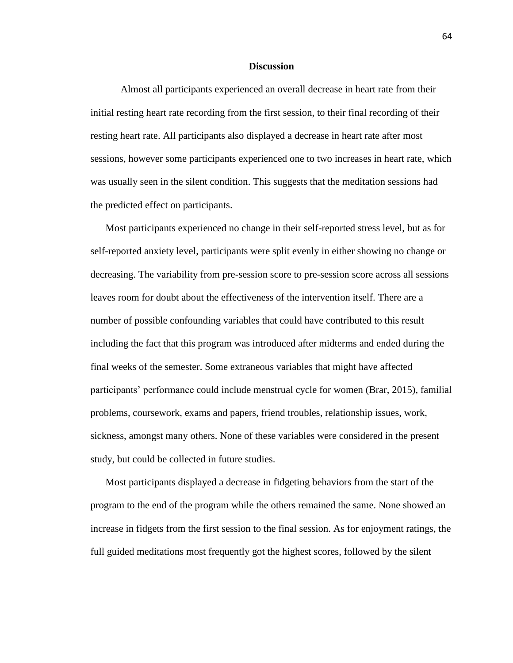### **Discussion**

Almost all participants experienced an overall decrease in heart rate from their initial resting heart rate recording from the first session, to their final recording of their resting heart rate. All participants also displayed a decrease in heart rate after most sessions, however some participants experienced one to two increases in heart rate, which was usually seen in the silent condition. This suggests that the meditation sessions had the predicted effect on participants.

Most participants experienced no change in their self-reported stress level, but as for self-reported anxiety level, participants were split evenly in either showing no change or decreasing. The variability from pre-session score to pre-session score across all sessions leaves room for doubt about the effectiveness of the intervention itself. There are a number of possible confounding variables that could have contributed to this result including the fact that this program was introduced after midterms and ended during the final weeks of the semester. Some extraneous variables that might have affected participants' performance could include menstrual cycle for women (Brar, 2015), familial problems, coursework, exams and papers, friend troubles, relationship issues, work, sickness, amongst many others. None of these variables were considered in the present study, but could be collected in future studies.

Most participants displayed a decrease in fidgeting behaviors from the start of the program to the end of the program while the others remained the same. None showed an increase in fidgets from the first session to the final session. As for enjoyment ratings, the full guided meditations most frequently got the highest scores, followed by the silent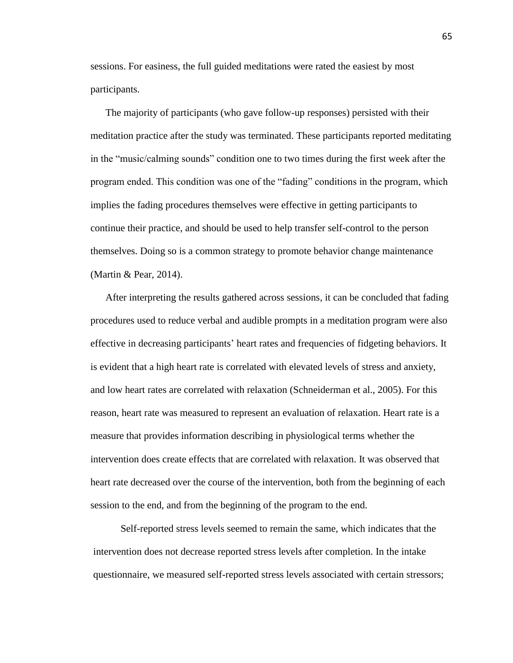sessions. For easiness, the full guided meditations were rated the easiest by most participants.

The majority of participants (who gave follow-up responses) persisted with their meditation practice after the study was terminated. These participants reported meditating in the "music/calming sounds" condition one to two times during the first week after the program ended. This condition was one of the "fading" conditions in the program, which implies the fading procedures themselves were effective in getting participants to continue their practice, and should be used to help transfer self-control to the person themselves. Doing so is a common strategy to promote behavior change maintenance (Martin & Pear, 2014).

After interpreting the results gathered across sessions, it can be concluded that fading procedures used to reduce verbal and audible prompts in a meditation program were also effective in decreasing participants' heart rates and frequencies of fidgeting behaviors. It is evident that a high heart rate is correlated with elevated levels of stress and anxiety, and low heart rates are correlated with relaxation (Schneiderman et al., 2005). For this reason, heart rate was measured to represent an evaluation of relaxation. Heart rate is a measure that provides information describing in physiological terms whether the intervention does create effects that are correlated with relaxation. It was observed that heart rate decreased over the course of the intervention, both from the beginning of each session to the end, and from the beginning of the program to the end.

Self-reported stress levels seemed to remain the same, which indicates that the intervention does not decrease reported stress levels after completion. In the intake questionnaire, we measured self-reported stress levels associated with certain stressors;

65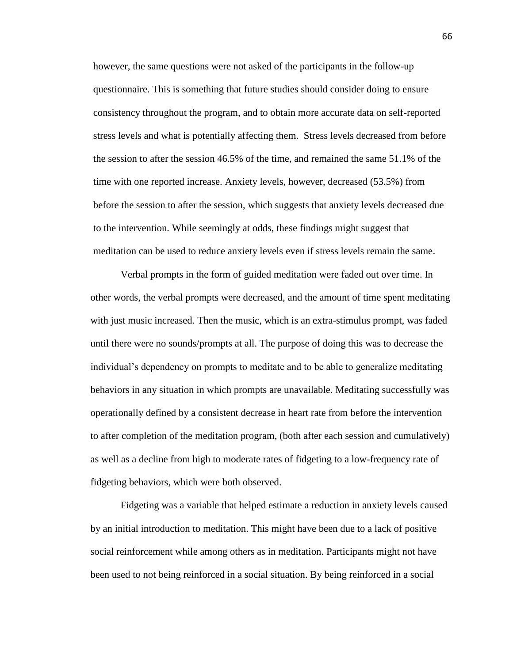however, the same questions were not asked of the participants in the follow-up questionnaire. This is something that future studies should consider doing to ensure consistency throughout the program, and to obtain more accurate data on self-reported stress levels and what is potentially affecting them. Stress levels decreased from before the session to after the session 46.5% of the time, and remained the same 51.1% of the time with one reported increase. Anxiety levels, however, decreased (53.5%) from before the session to after the session, which suggests that anxiety levels decreased due to the intervention. While seemingly at odds, these findings might suggest that meditation can be used to reduce anxiety levels even if stress levels remain the same.

Verbal prompts in the form of guided meditation were faded out over time. In other words, the verbal prompts were decreased, and the amount of time spent meditating with just music increased. Then the music, which is an extra-stimulus prompt, was faded until there were no sounds/prompts at all. The purpose of doing this was to decrease the individual's dependency on prompts to meditate and to be able to generalize meditating behaviors in any situation in which prompts are unavailable. Meditating successfully was operationally defined by a consistent decrease in heart rate from before the intervention to after completion of the meditation program, (both after each session and cumulatively) as well as a decline from high to moderate rates of fidgeting to a low-frequency rate of fidgeting behaviors, which were both observed.

Fidgeting was a variable that helped estimate a reduction in anxiety levels caused by an initial introduction to meditation. This might have been due to a lack of positive social reinforcement while among others as in meditation. Participants might not have been used to not being reinforced in a social situation. By being reinforced in a social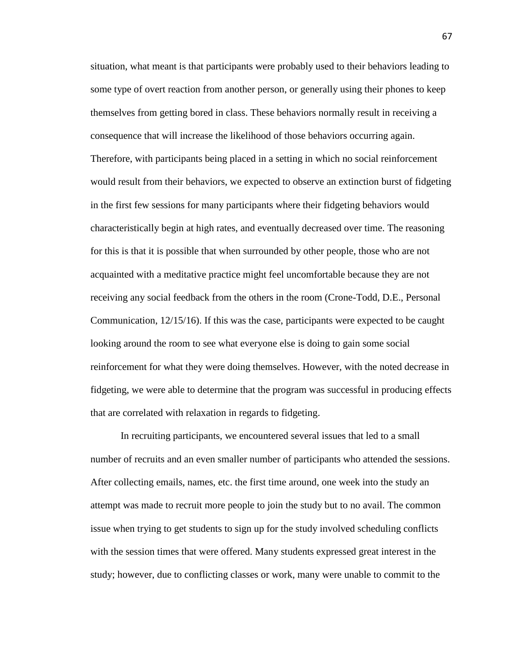situation, what meant is that participants were probably used to their behaviors leading to some type of overt reaction from another person, or generally using their phones to keep themselves from getting bored in class. These behaviors normally result in receiving a consequence that will increase the likelihood of those behaviors occurring again. Therefore, with participants being placed in a setting in which no social reinforcement would result from their behaviors, we expected to observe an extinction burst of fidgeting in the first few sessions for many participants where their fidgeting behaviors would characteristically begin at high rates, and eventually decreased over time. The reasoning for this is that it is possible that when surrounded by other people, those who are not acquainted with a meditative practice might feel uncomfortable because they are not receiving any social feedback from the others in the room (Crone-Todd, D.E., Personal Communication, 12/15/16). If this was the case, participants were expected to be caught looking around the room to see what everyone else is doing to gain some social reinforcement for what they were doing themselves. However, with the noted decrease in fidgeting, we were able to determine that the program was successful in producing effects that are correlated with relaxation in regards to fidgeting.

In recruiting participants, we encountered several issues that led to a small number of recruits and an even smaller number of participants who attended the sessions. After collecting emails, names, etc. the first time around, one week into the study an attempt was made to recruit more people to join the study but to no avail. The common issue when trying to get students to sign up for the study involved scheduling conflicts with the session times that were offered. Many students expressed great interest in the study; however, due to conflicting classes or work, many were unable to commit to the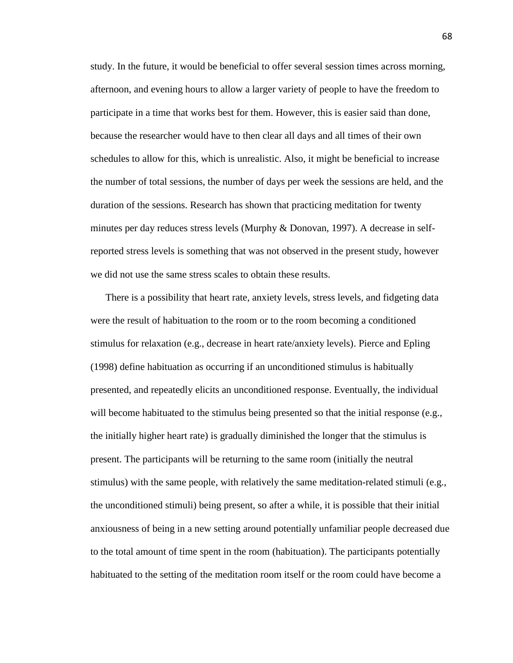study. In the future, it would be beneficial to offer several session times across morning, afternoon, and evening hours to allow a larger variety of people to have the freedom to participate in a time that works best for them. However, this is easier said than done, because the researcher would have to then clear all days and all times of their own schedules to allow for this, which is unrealistic. Also, it might be beneficial to increase the number of total sessions, the number of days per week the sessions are held, and the duration of the sessions. Research has shown that practicing meditation for twenty minutes per day reduces stress levels (Murphy & Donovan, 1997). A decrease in selfreported stress levels is something that was not observed in the present study, however we did not use the same stress scales to obtain these results.

There is a possibility that heart rate, anxiety levels, stress levels, and fidgeting data were the result of habituation to the room or to the room becoming a conditioned stimulus for relaxation (e.g., decrease in heart rate/anxiety levels). Pierce and Epling (1998) define habituation as occurring if an unconditioned stimulus is habitually presented, and repeatedly elicits an unconditioned response. Eventually, the individual will become habituated to the stimulus being presented so that the initial response (e.g., the initially higher heart rate) is gradually diminished the longer that the stimulus is present. The participants will be returning to the same room (initially the neutral stimulus) with the same people, with relatively the same meditation-related stimuli (e.g., the unconditioned stimuli) being present, so after a while, it is possible that their initial anxiousness of being in a new setting around potentially unfamiliar people decreased due to the total amount of time spent in the room (habituation). The participants potentially habituated to the setting of the meditation room itself or the room could have become a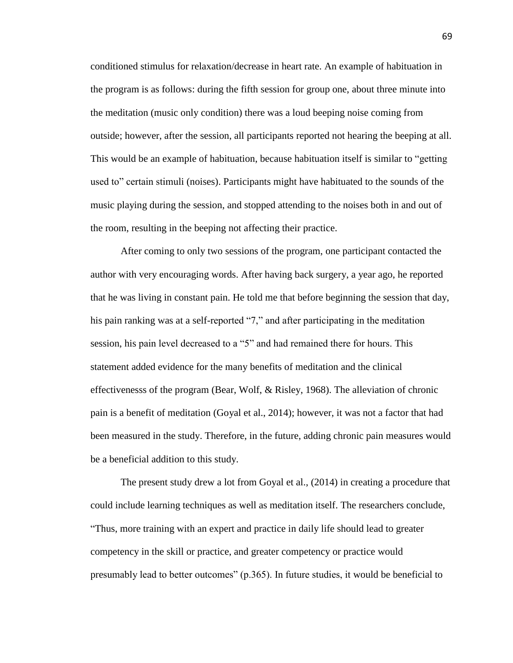conditioned stimulus for relaxation/decrease in heart rate. An example of habituation in the program is as follows: during the fifth session for group one, about three minute into the meditation (music only condition) there was a loud beeping noise coming from outside; however, after the session, all participants reported not hearing the beeping at all. This would be an example of habituation, because habituation itself is similar to "getting used to" certain stimuli (noises). Participants might have habituated to the sounds of the music playing during the session, and stopped attending to the noises both in and out of the room, resulting in the beeping not affecting their practice.

After coming to only two sessions of the program, one participant contacted the author with very encouraging words. After having back surgery, a year ago, he reported that he was living in constant pain. He told me that before beginning the session that day, his pain ranking was at a self-reported "7," and after participating in the meditation session, his pain level decreased to a "5" and had remained there for hours. This statement added evidence for the many benefits of meditation and the clinical effectivenesss of the program (Bear, Wolf, & Risley, 1968). The alleviation of chronic pain is a benefit of meditation (Goyal et al., 2014); however, it was not a factor that had been measured in the study. Therefore, in the future, adding chronic pain measures would be a beneficial addition to this study.

The present study drew a lot from Goyal et al., (2014) in creating a procedure that could include learning techniques as well as meditation itself. The researchers conclude, "Thus, more training with an expert and practice in daily life should lead to greater competency in the skill or practice, and greater competency or practice would presumably lead to better outcomes" (p.365). In future studies, it would be beneficial to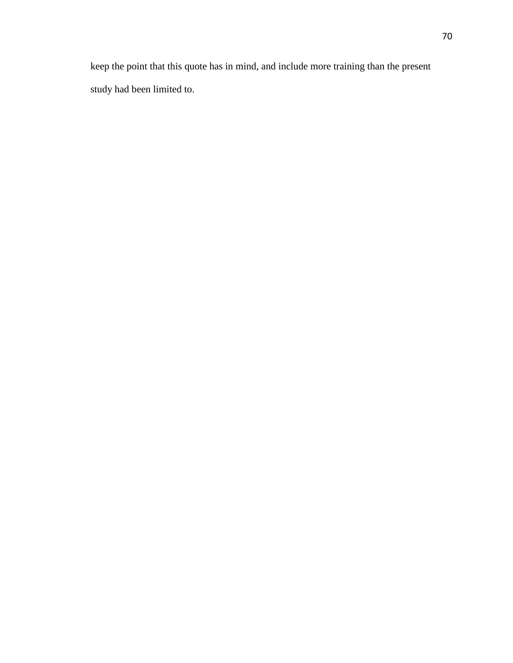keep the point that this quote has in mind, and include more training than the present study had been limited to.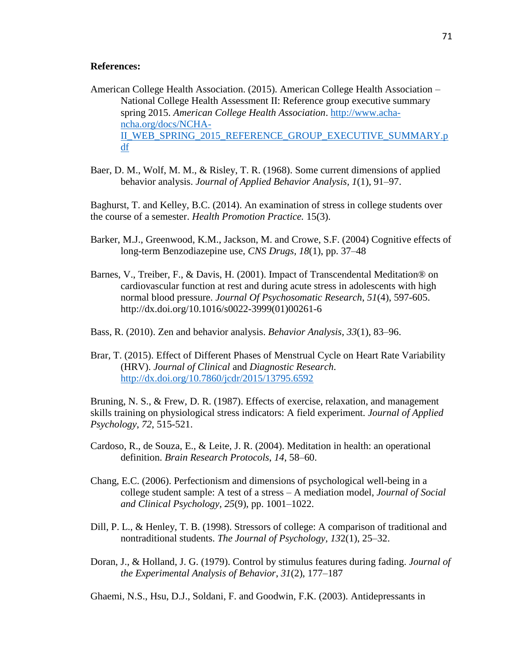#### **References:**

- American College Health Association. (2015). American College Health Association National College Health Assessment II: Reference group executive summary spring 2015. *American College Health Association*. [http://www.acha](http://www.acha-ncha.org/docs/NCHA-II_WEB_SPRING_2015_REFERENCE_GROUP_EXECUTIVE_SUMMARY.pdf)[ncha.org/docs/NCHA-](http://www.acha-ncha.org/docs/NCHA-II_WEB_SPRING_2015_REFERENCE_GROUP_EXECUTIVE_SUMMARY.pdf)[II\\_WEB\\_SPRING\\_2015\\_REFERENCE\\_GROUP\\_EXECUTIVE\\_SUMMARY.p](http://www.acha-ncha.org/docs/NCHA-II_WEB_SPRING_2015_REFERENCE_GROUP_EXECUTIVE_SUMMARY.pdf) [df](http://www.acha-ncha.org/docs/NCHA-II_WEB_SPRING_2015_REFERENCE_GROUP_EXECUTIVE_SUMMARY.pdf)
- Baer, D. M., Wolf, M. M., & Risley, T. R. (1968). Some current dimensions of applied behavior analysis. *Journal of Applied Behavior Analysis, 1*(1), 91–97.

Baghurst, T. and Kelley, B.C. (2014). An examination of stress in college students over the course of a semester. *Health Promotion Practice.* 15(3).

- Barker, M.J., Greenwood, K.M., Jackson, M. and Crowe, S.F. (2004) Cognitive effects of long-term Benzodiazepine use, *CNS Drugs, 18*(1), pp. 37–48
- Barnes, V., Treiber, F., & Davis, H. (2001). Impact of Transcendental Meditation® on cardiovascular function at rest and during acute stress in adolescents with high normal blood pressure. *Journal Of Psychosomatic Research*, *51*(4), 597-605. http://dx.doi.org/10.1016/s0022-3999(01)00261-6
- Bass, R. (2010). Zen and behavior analysis. *Behavior Analysis*, *33*(1), 83–96.
- Brar, T. (2015). Effect of Different Phases of Menstrual Cycle on Heart Rate Variability (HRV). *Journal of Clinical* and *Diagnostic Research*. <http://dx.doi.org/10.7860/jcdr/2015/13795.6592>

Bruning, N. S., & Frew, D. R. (1987). Effects of exercise, relaxation, and management skills training on physiological stress indicators: A field experiment. *Journal of Applied Psychology*, *72*, 515-521.

- Cardoso, R., de Souza, E., & Leite, J. R. (2004). Meditation in health: an operational definition. *Brain Research Protocols*, *14*, 58–60.
- Chang, E.C. (2006). Perfectionism and dimensions of psychological well-being in a college student sample: A test of a stress – A mediation model, *Journal of Social and Clinical Psychology, 25*(9), pp. 1001–1022.
- Dill, P. L., & Henley, T. B. (1998). Stressors of college: A comparison of traditional and nontraditional students. *The Journal of Psychology, 13*2(1), 25–32.
- Doran, J., & Holland, J. G. (1979). Control by stimulus features during fading. *Journal of the Experimental Analysis of Behavior*, *31*(2), 177–187

Ghaemi, N.S., Hsu, D.J., Soldani, F. and Goodwin, F.K. (2003). Antidepressants in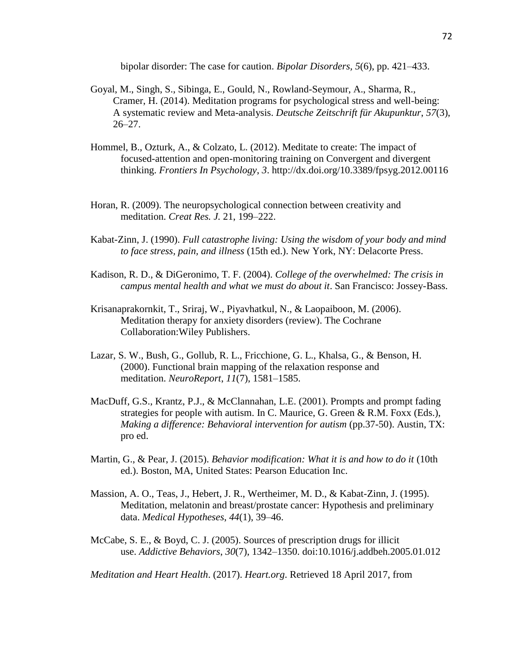bipolar disorder: The case for caution. *Bipolar Disorders, 5*(6), pp. 421–433.

- Goyal, M., Singh, S., Sibinga, E., Gould, N., Rowland-Seymour, A., Sharma, R., Cramer, H. (2014). Meditation programs for psychological stress and well-being: A systematic review and Meta-analysis. *Deutsche Zeitschrift für Akupunktur*, *57*(3), 26–27.
- Hommel, B., Ozturk, A., & Colzato, L. (2012). Meditate to create: The impact of focused-attention and open-monitoring training on Convergent and divergent thinking. *Frontiers In Psychology*, *3*. http://dx.doi.org/10.3389/fpsyg.2012.00116
- Horan, R. (2009). The neuropsychological connection between creativity and meditation. *Creat Res. J.* 21, 199–222.
- Kabat-Zinn, J. (1990). *Full catastrophe living: Using the wisdom of your body and mind to face stress, pain, and illness* (15th ed.). New York, NY: Delacorte Press.
- Kadison, R. D., & DiGeronimo, T. F. (2004). *College of the overwhelmed: The crisis in campus mental health and what we must do about it*. San Francisco: Jossey-Bass.
- Krisanaprakornkit, T., Sriraj, W., Piyavhatkul, N., & Laopaiboon, M. (2006). Meditation therapy for anxiety disorders (review). The Cochrane Collaboration:Wiley Publishers.
- Lazar, S. W., Bush, G., Gollub, R. L., Fricchione, G. L., Khalsa, G., & Benson, H. (2000). Functional brain mapping of the relaxation response and meditation. *NeuroReport*, *11*(7), 1581–1585.
- MacDuff, G.S., Krantz, P.J., & McClannahan, L.E. (2001). Prompts and prompt fading strategies for people with autism. In C. Maurice, G. Green & R.M. Foxx (Eds.), *Making a difference: Behavioral intervention for autism* (pp.37-50). Austin, TX: pro ed.
- Martin, G., & Pear, J. (2015). *Behavior modification: What it is and how to do it* (10th ed.). Boston, MA, United States: Pearson Education Inc.
- Massion, A. O., Teas, J., Hebert, J. R., Wertheimer, M. D., & Kabat-Zinn, J. (1995). Meditation, melatonin and breast/prostate cancer: Hypothesis and preliminary data. *Medical Hypotheses*, *44*(1), 39–46.
- McCabe, S. E., & Boyd, C. J. (2005). Sources of prescription drugs for illicit use. *Addictive Behaviors*, *30*(7), 1342–1350. doi:10.1016/j.addbeh.2005.01.012

*Meditation and Heart Health*. (2017). *Heart.org*. Retrieved 18 April 2017, from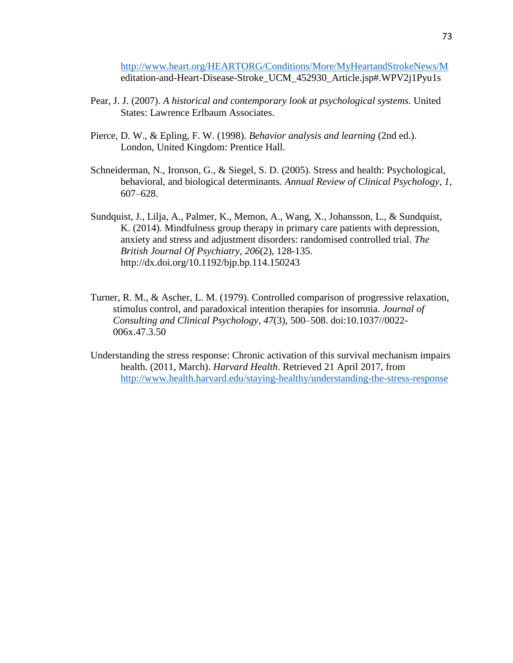<http://www.heart.org/HEARTORG/Conditions/More/MyHeartandStrokeNews/M> editation-and-Heart-Disease-Stroke\_UCM\_452930\_Article.jsp#.WPV2j1Pyu1s

- Pear, J. J. (2007). *A historical and contemporary look at psychological systems.* United States: Lawrence Erlbaum Associates.
- Pierce, D. W., & Epling, F. W. (1998). *Behavior analysis and learning* (2nd ed.). London, United Kingdom: Prentice Hall.
- Schneiderman, N., Ironson, G., & Siegel, S. D. (2005). Stress and health: Psychological, behavioral, and biological determinants. *Annual Review of Clinical Psychology, 1*, 607–628.
- Sundquist, J., Lilja, A., Palmer, K., Memon, A., Wang, X., Johansson, L., & Sundquist, K. (2014). Mindfulness group therapy in primary care patients with depression, anxiety and stress and adjustment disorders: randomised controlled trial. *The British Journal Of Psychiatry*, *206*(2), 128-135. http://dx.doi.org/10.1192/bjp.bp.114.150243
- Turner, R. M., & Ascher, L. M. (1979). Controlled comparison of progressive relaxation, stimulus control, and paradoxical intention therapies for insomnia. *Journal of Consulting and Clinical Psychology*, *47*(3), 500–508. doi:10.1037//0022- 006x.47.3.50
- Understanding the stress response: Chronic activation of this survival mechanism impairs health. (2011, March). *Harvard Health*. Retrieved 21 April 2017, from <http://www.health.harvard.edu/staying-healthy/understanding-the-stress-response>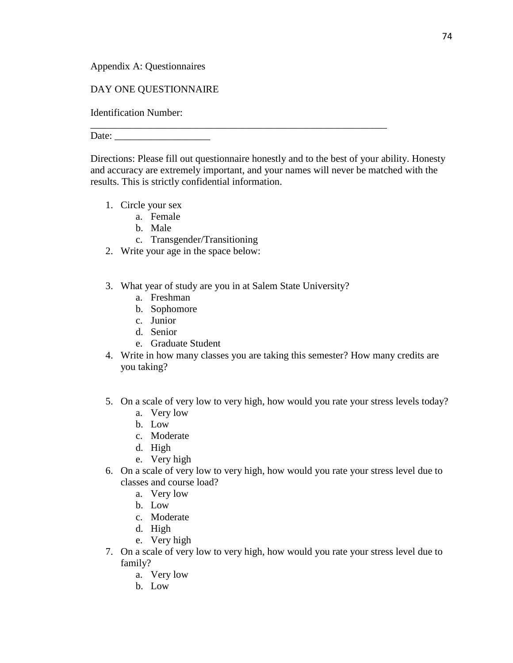Appendix A: Questionnaires

# DAY ONE QUESTIONNAIRE

Identification Number:

Date:

Directions: Please fill out questionnaire honestly and to the best of your ability. Honesty and accuracy are extremely important, and your names will never be matched with the results. This is strictly confidential information.

\_\_\_\_\_\_\_\_\_\_\_\_\_\_\_\_\_\_\_\_\_\_\_\_\_\_\_\_\_\_\_\_\_\_\_\_\_\_\_\_\_\_\_\_\_\_\_\_\_\_\_\_\_\_\_\_\_\_\_

- 1. Circle your sex
	- a. Female
		- b. Male
		- c. Transgender/Transitioning
- 2. Write your age in the space below:
- 3. What year of study are you in at Salem State University?
	- a. Freshman
	- b. Sophomore
	- c. Junior
	- d. Senior
	- e. Graduate Student
- 4. Write in how many classes you are taking this semester? How many credits are you taking?
- 5. On a scale of very low to very high, how would you rate your stress levels today?
	- a. Very low
	- b. Low
	- c. Moderate
	- d. High
	- e. Very high
- 6. On a scale of very low to very high, how would you rate your stress level due to classes and course load?
	- a. Very low
	- b. Low
	- c. Moderate
	- d. High
	- e. Very high
- 7. On a scale of very low to very high, how would you rate your stress level due to family?
	- a. Very low
	- b. Low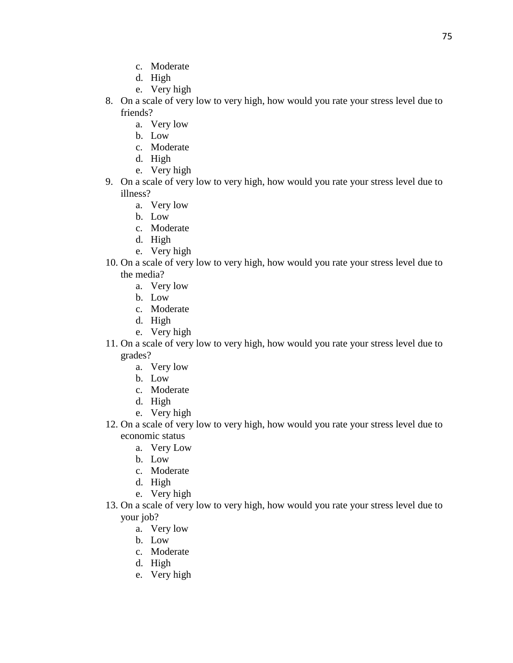- c. Moderate
- d. High
- e. Very high
- 8. On a scale of very low to very high, how would you rate your stress level due to friends?
	- a. Very low
	- b. Low
	- c. Moderate
	- d. High
	- e. Very high
- 9. On a scale of very low to very high, how would you rate your stress level due to illness?
	- a. Very low
	- b. Low
	- c. Moderate
	- d. High
	- e. Very high
- 10. On a scale of very low to very high, how would you rate your stress level due to the media?
	- a. Very low
	- b. Low
	- c. Moderate
	- d. High
	- e. Very high
- 11. On a scale of very low to very high, how would you rate your stress level due to grades?
	- a. Very low
	- b. Low
	- c. Moderate
	- d. High
	- e. Very high
- 12. On a scale of very low to very high, how would you rate your stress level due to economic status
	- a. Very Low
	- b. Low
	- c. Moderate
	- d. High
	- e. Very high
- 13. On a scale of very low to very high, how would you rate your stress level due to your job?
	- a. Very low
	- b. Low
	- c. Moderate
	- d. High
	- e. Very high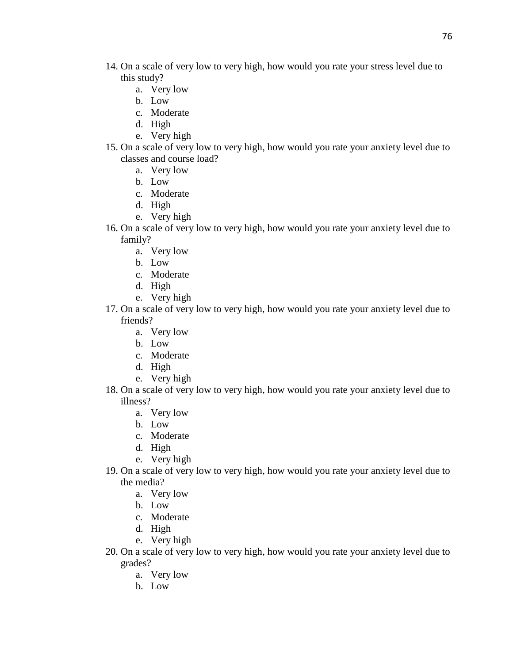- 14. On a scale of very low to very high, how would you rate your stress level due to this study?
	- a. Very low
	- b. Low
	- c. Moderate
	- d. High
	- e. Very high
- 15. On a scale of very low to very high, how would you rate your anxiety level due to classes and course load?
	- a. Very low
	- b. Low
	- c. Moderate
	- d. High
	- e. Very high
- 16. On a scale of very low to very high, how would you rate your anxiety level due to family?
	- a. Very low
	- b. Low
	- c. Moderate
	- d. High
	- e. Very high
- 17. On a scale of very low to very high, how would you rate your anxiety level due to friends?
	- a. Very low
	- b. Low
	- c. Moderate
	- d. High
	- e. Very high
- 18. On a scale of very low to very high, how would you rate your anxiety level due to illness?
	- a. Very low
	- b. Low
	- c. Moderate
	- d. High
	- e. Very high
- 19. On a scale of very low to very high, how would you rate your anxiety level due to the media?
	- a. Very low
	- b. Low
	- c. Moderate
	- d. High
	- e. Very high
- 20. On a scale of very low to very high, how would you rate your anxiety level due to grades?
	- a. Very low
	- b. Low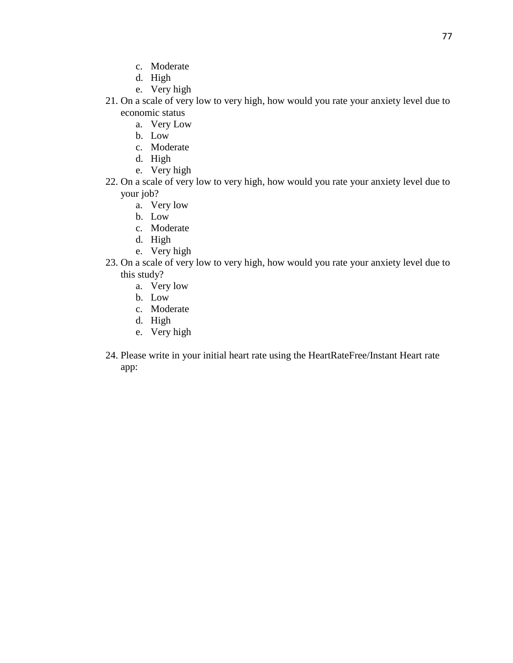- c. Moderate
- d. High
- e. Very high
- 21. On a scale of very low to very high, how would you rate your anxiety level due to economic status
	- a. Very Low
	- b. Low
	- c. Moderate
	- d. High
	- e. Very high
- 22. On a scale of very low to very high, how would you rate your anxiety level due to your job?
	- a. Very low
	- b. Low
	- c. Moderate
	- d. High
	- e. Very high
- 23. On a scale of very low to very high, how would you rate your anxiety level due to this study?
	- a. Very low
	- b. Low
	- c. Moderate
	- d. High
	- e. Very high
- 24. Please write in your initial heart rate using the HeartRateFree/Instant Heart rate app: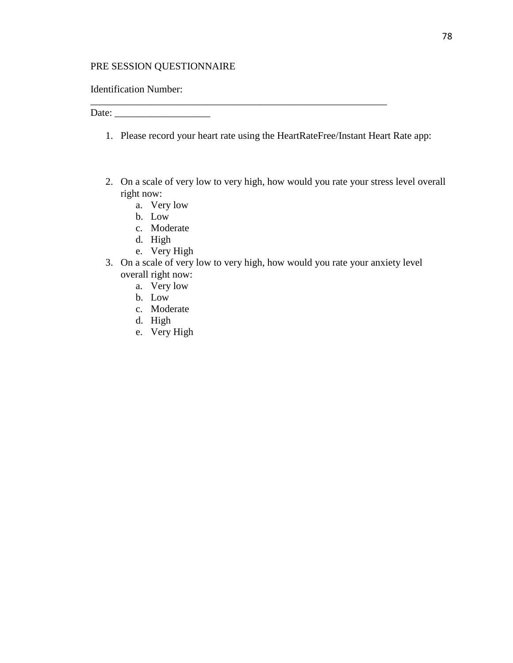# PRE SESSION QUESTIONNAIRE

### Identification Number:

Date: \_\_\_\_\_\_\_\_\_\_\_\_\_\_\_\_\_\_\_

1. Please record your heart rate using the HeartRateFree/Instant Heart Rate app:

\_\_\_\_\_\_\_\_\_\_\_\_\_\_\_\_\_\_\_\_\_\_\_\_\_\_\_\_\_\_\_\_\_\_\_\_\_\_\_\_\_\_\_\_\_\_\_\_\_\_\_\_\_\_\_\_\_\_\_

- 2. On a scale of very low to very high, how would you rate your stress level overall right now:
	- a. Very low
	- b. Low
	- c. Moderate
	- d. High
	- e. Very High
- 3. On a scale of very low to very high, how would you rate your anxiety level overall right now:
	- a. Very low
	- b. Low
	- c. Moderate
	- d. High
	- e. Very High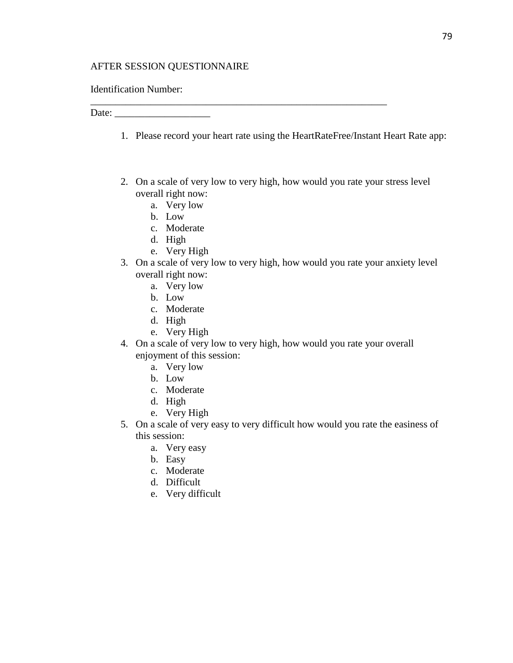### AFTER SESSION QUESTIONNAIRE

### Identification Number:

Date: \_\_\_\_\_\_\_\_\_\_\_\_\_\_\_\_\_\_\_

1. Please record your heart rate using the HeartRateFree/Instant Heart Rate app:

\_\_\_\_\_\_\_\_\_\_\_\_\_\_\_\_\_\_\_\_\_\_\_\_\_\_\_\_\_\_\_\_\_\_\_\_\_\_\_\_\_\_\_\_\_\_\_\_\_\_\_\_\_\_\_\_\_\_\_

- 2. On a scale of very low to very high, how would you rate your stress level overall right now:
	- a. Very low
	- b. Low
	- c. Moderate
	- d. High
	- e. Very High
- 3. On a scale of very low to very high, how would you rate your anxiety level overall right now:
	- a. Very low
	- b. Low
	- c. Moderate
	- d. High
	- e. Very High
- 4. On a scale of very low to very high, how would you rate your overall enjoyment of this session:
	- a. Very low
	- b. Low
	- c. Moderate
	- d. High
	- e. Very High
- 5. On a scale of very easy to very difficult how would you rate the easiness of this session:
	- a. Very easy
	- b. Easy
	- c. Moderate
	- d. Difficult
	- e. Very difficult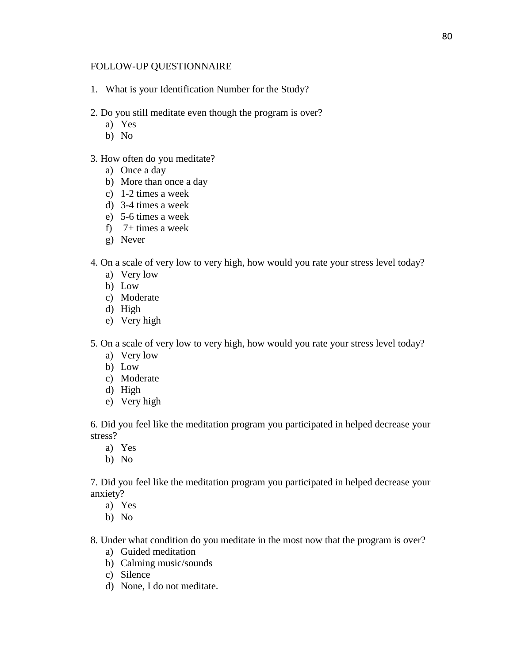### FOLLOW-UP QUESTIONNAIRE

- 1. What is your Identification Number for the Study?
- 2. Do you still meditate even though the program is over?
	- a) Yes
	- b) No
- 3. How often do you meditate?
	- a) Once a day
	- b) More than once a day
	- c) 1-2 times a week
	- d) 3-4 times a week
	- e) 5-6 times a week
	- f) 7+ times a week
	- g) Never
- 4. On a scale of very low to very high, how would you rate your stress level today?
	- a) Very low
	- b) Low
	- c) Moderate
	- d) High
	- e) Very high
- 5. On a scale of very low to very high, how would you rate your stress level today?
	- a) Very low
	- b) Low
	- c) Moderate
	- d) High
	- e) Very high

6. Did you feel like the meditation program you participated in helped decrease your stress?

- a) Yes
- b) No

7. Did you feel like the meditation program you participated in helped decrease your anxiety?

- a) Yes
- b) No

8. Under what condition do you meditate in the most now that the program is over?

- a) Guided meditation
- b) Calming music/sounds
- c) Silence
- d) None, I do not meditate.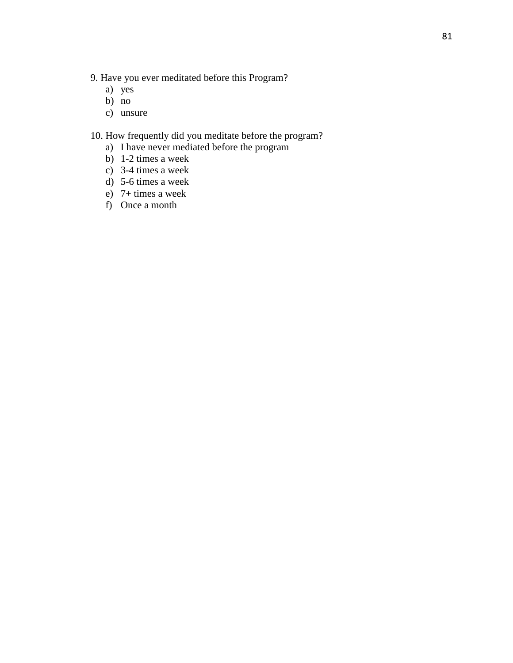- 9. Have you ever meditated before this Program?
	- a) yes
	- b) no
	- c) unsure

10. How frequently did you meditate before the program?

- a) I have never mediated before the program
- b) 1-2 times a week
- c) 3-4 times a week
- d) 5-6 times a week
- e) 7+ times a week
- f) Once a month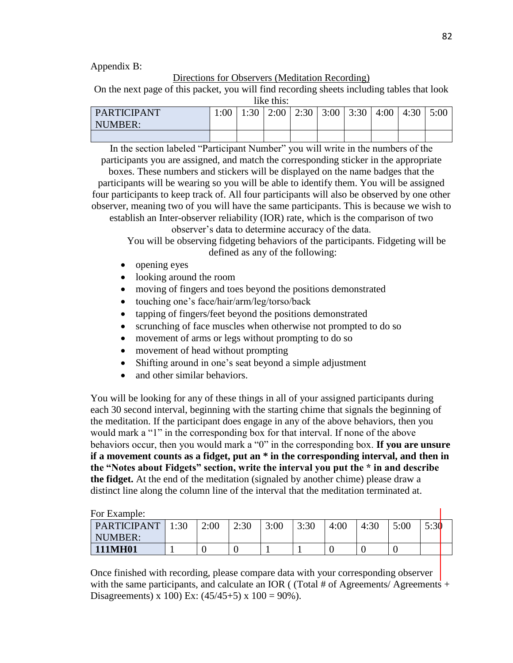Appendix B:

#### Directions for Observers (Meditation Recording)

On the next page of this packet, you will find recording sheets including tables that look like this:

| PARTICIPANT | 1:00 | 1:30 | 2:00 | 2:30 | 3:00 | 3:30 | 4:00 | 4:30 | 5:00 |
|-------------|------|------|------|------|------|------|------|------|------|
| NUMBER:     |      |      |      |      |      |      |      |      |      |
|             |      |      |      |      |      |      |      |      |      |

In the section labeled "Participant Number" you will write in the numbers of the participants you are assigned, and match the corresponding sticker in the appropriate

boxes. These numbers and stickers will be displayed on the name badges that the participants will be wearing so you will be able to identify them. You will be assigned four participants to keep track of. All four participants will also be observed by one other observer, meaning two of you will have the same participants. This is because we wish to establish an Inter-observer reliability (IOR) rate, which is the comparison of two

observer's data to determine accuracy of the data.

You will be observing fidgeting behaviors of the participants. Fidgeting will be defined as any of the following:

- opening eyes
- looking around the room
- moving of fingers and toes beyond the positions demonstrated
- touching one's face/hair/arm/leg/torso/back
- tapping of fingers/feet beyond the positions demonstrated
- scrunching of face muscles when otherwise not prompted to do so
- movement of arms or legs without prompting to do so
- movement of head without prompting
- Shifting around in one's seat beyond a simple adjustment
- and other similar behaviors.

You will be looking for any of these things in all of your assigned participants during each 30 second interval, beginning with the starting chime that signals the beginning of the meditation. If the participant does engage in any of the above behaviors, then you would mark a "1" in the corresponding box for that interval. If none of the above behaviors occur, then you would mark a "0" in the corresponding box. **If you are unsure if a movement counts as a fidget, put an \* in the corresponding interval, and then in the "Notes about Fidgets" section, write the interval you put the \* in and describe the fidget.** At the end of the meditation (signaled by another chime) please draw a distinct line along the column line of the interval that the meditation terminated at.

For Example: PARTICIPANT NUMBER: 1:30 | 2:00 | 2:30 | 3:00 | 3:30 | 4:00 | 4:30 | 5:00 | 5:30 **111MH01**  $\begin{array}{|c|c|c|c|c|c|c|c|c|} \hline 1 & 0 & 0 & 1 & 1 & 0 & 0 \\ \hline \end{array}$ 

Once finished with recording, please compare data with your corresponding observer with the same participants, and calculate an IOR ( (Total # of Agreements/ Agreements + Disagreements) x 100) Ex:  $(45/45+5)$  x 100 = 90%).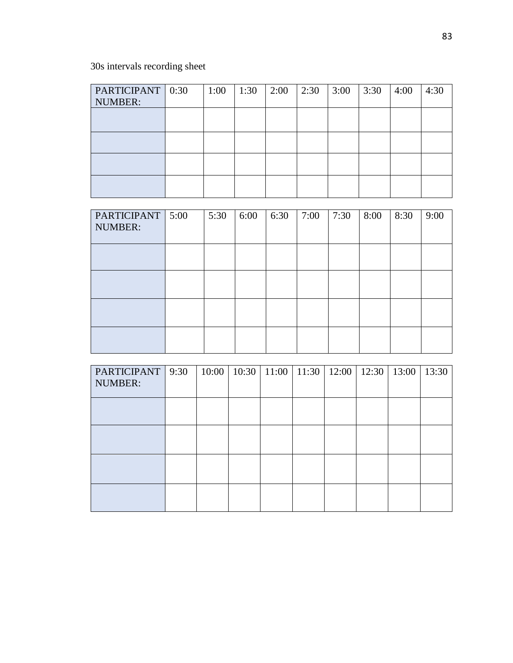30s intervals recording sheet

| PARTICIPANT   0:30<br><b>NUMBER:</b> | 1:00 | 1:30 | 2:00 | 2:30 | 3:00 | 3:30 | 4:00 | 4:30 |
|--------------------------------------|------|------|------|------|------|------|------|------|
|                                      |      |      |      |      |      |      |      |      |
|                                      |      |      |      |      |      |      |      |      |
|                                      |      |      |      |      |      |      |      |      |
|                                      |      |      |      |      |      |      |      |      |

| PARTICIPANT 5:00<br>NUMBER: | 5:30 | 6:00 | 6:30 | 7:00 | 7:30 | 8:00 | 8:30 | 9:00 |
|-----------------------------|------|------|------|------|------|------|------|------|
|                             |      |      |      |      |      |      |      |      |
|                             |      |      |      |      |      |      |      |      |
|                             |      |      |      |      |      |      |      |      |
|                             |      |      |      |      |      |      |      |      |

| PARTICIPANT   9:30<br>NUMBER: |  |  |  | 10:00   10:30   11:00   11:30   12:00   12:30   13:00 | 13:30 |
|-------------------------------|--|--|--|-------------------------------------------------------|-------|
|                               |  |  |  |                                                       |       |
|                               |  |  |  |                                                       |       |
|                               |  |  |  |                                                       |       |
|                               |  |  |  |                                                       |       |